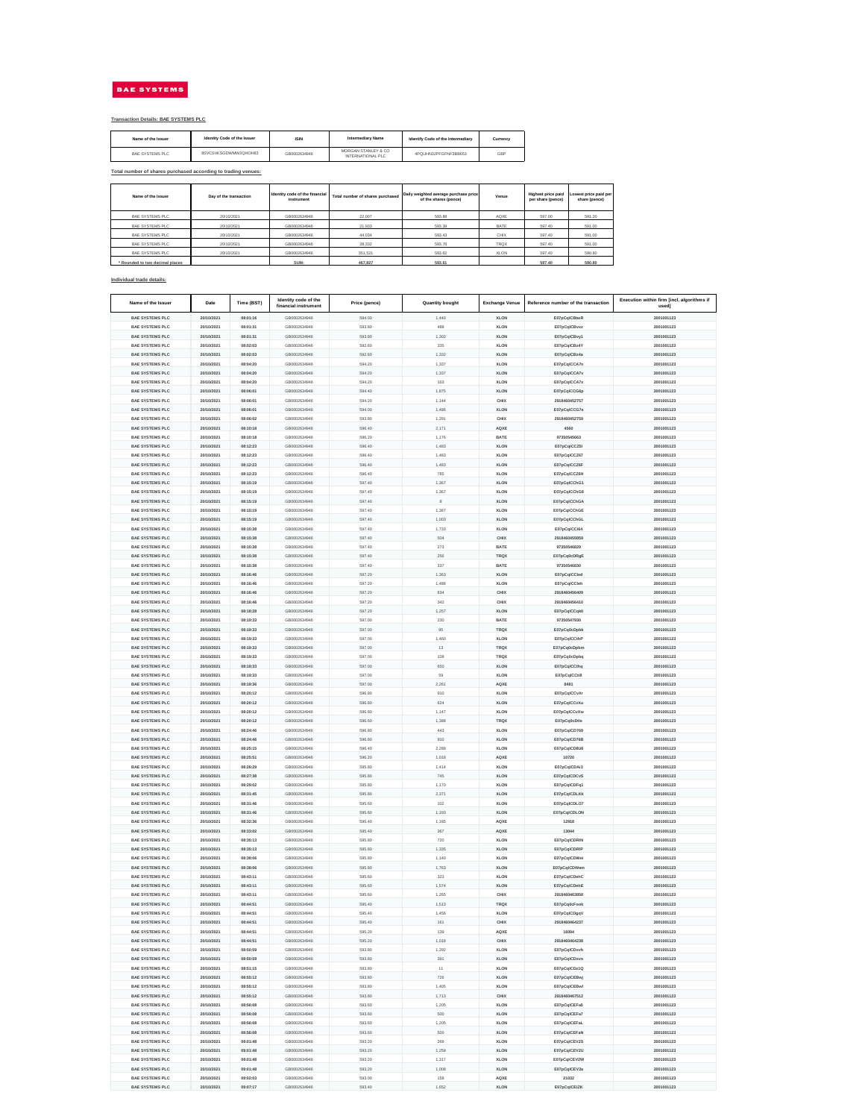| Name of the Issuer              | Day of the transaction | Identity code of the financial<br>instrument | Total number of shares purchased | Daily weighted average purchase price<br>of the shares (pence) | Venue       | <b>Highest price paid</b><br>per share (pence) | Lowest price paid per<br>share (pence) |
|---------------------------------|------------------------|----------------------------------------------|----------------------------------|----------------------------------------------------------------|-------------|------------------------------------------------|----------------------------------------|
| <b>BAE SYSTEMS PLC</b>          | 20/10/2021             | GB0002634946                                 | 22,007                           | 593.88                                                         | AQXE        | 597.00                                         | 591.20                                 |
| <b>BAE SYSTEMS PLC</b>          | 20/10/2021             | GB0002634946                                 | 21,933                           | 593.39                                                         | <b>BATE</b> | 597.40                                         | 591.00                                 |
| <b>BAE SYSTEMS PLC</b>          | 20/10/2021             | GB0002634946                                 | 44,034                           | 593.43                                                         | <b>CHIX</b> | 597.40                                         | 591.00                                 |
| <b>BAE SYSTEMS PLC</b>          | 20/10/2021             | GB0002634946                                 | 28,332                           | 593.78                                                         | <b>TRQX</b> | 597.40                                         | 591.00                                 |
| <b>BAE SYSTEMS PLC</b>          | 20/10/2021             | GB0002634946                                 | 351,521                          | 593.62                                                         | <b>XLON</b> | 597.40                                         | 590.80                                 |
| * Rounded to two decimal places |                        | SUM:                                         | 467,827                          | 593.61                                                         |             | 597.40                                         | 590.80                                 |

| Name of the Issuer | <b>Identity Code of the Issuer</b> | <b>ISIN</b>  | <b>Intermediary Name</b>                        | <b>Identify Code of the Intermediary</b> | <b>Currency</b> |
|--------------------|------------------------------------|--------------|-------------------------------------------------|------------------------------------------|-----------------|
| BAE SYSTEMS PLC    | 8SVCSVKSGDWMW2QHOH83               | GB0002634946 | MORGAN STANLEY & CO<br><b>INTERNATIONAL PLC</b> | 4PQUHN3JPFGFNF3BB653                     | <b>GBP</b>      |

| Name of the Issuer                               | <b>Date</b>              | Time (BST)           | Identity code of the<br>financial instrument | Price (pence)    | <b>Quantity bought</b> | <b>Exchange Venue</b>      | Reference number of the transaction | Execution within firm [incl. algorithms if<br>used] |
|--------------------------------------------------|--------------------------|----------------------|----------------------------------------------|------------------|------------------------|----------------------------|-------------------------------------|-----------------------------------------------------|
| <b>BAE SYSTEMS PLC</b>                           | 20/10/2021               | 08:01:16             | GB0002634946                                 | 594.00           | 1,440                  | <b>XLON</b>                | E07pCqICBtwR                        | 2001001123                                          |
| <b>BAE SYSTEMS PLC</b>                           | 20/10/2021               | 08:01:31             | GB0002634946                                 | 593.80           | 488                    | <b>XLON</b>                | E07pCqICBvxz                        | 2001001123                                          |
| <b>BAE SYSTEMS PLC</b>                           | 20/10/2021               | 08:01:31             | GB0002634946                                 | 593.80           | 1,302                  | <b>XLON</b>                | E07pCqICBvy1                        | 2001001123                                          |
| <b>BAE SYSTEMS PLC</b>                           | 20/10/2021               | 08:02:03             | GB0002634946                                 | 592.60           | 335                    | <b>XLON</b>                | E07pCqICBz4Y                        | 2001001123                                          |
| <b>BAE SYSTEMS PLC</b>                           | 20/10/2021               | 08:02:03             | GB0002634946                                 | 592.60           | 1,332                  | <b>XLON</b>                | E07pCqICBz4a                        | 2001001123                                          |
| <b>BAE SYSTEMS PLC</b>                           | 20/10/2021               | 08:04:20             | GB0002634946                                 | 594.20           | 1,337                  | <b>XLON</b>                | E07pCqICCA7n                        | 2001001123                                          |
| <b>BAE SYSTEMS PLC</b>                           | 20/10/2021               | 08:04:20             | GB0002634946                                 | 594.20           | 1,337                  | <b>XLON</b>                | E07pCqICCA7v                        | 2001001123                                          |
| <b>BAE SYSTEMS PLC</b>                           | 20/10/2021               | 08:04:20             | GB0002634946                                 | 594.20           | 163                    | <b>XLON</b>                | E07pCqICCA7x                        | 2001001123                                          |
| <b>BAE SYSTEMS PLC</b>                           | 20/10/2021               | 08:06:01             | GB0002634946                                 | 594.40           | 1,875                  | <b>XLON</b>                | E07pCqICCG6p                        | 2001001123                                          |
| <b>BAE SYSTEMS PLC</b>                           | 20/10/2021               | 08:06:01             | GB0002634946                                 | 594.20           | 1,144                  | <b>CHIX</b>                | 2918460452757                       | 2001001123                                          |
| <b>BAE SYSTEMS PLC</b>                           | 20/10/2021               | 08:06:01             | GB0002634946                                 | 594.00           | 1,486                  | <b>XLON</b>                | E07pCqICCG7e                        | 2001001123                                          |
| <b>BAE SYSTEMS PLC</b>                           | 20/10/2021               | 08:06:02             | GB0002634946                                 | 593.80           | 1,291                  | <b>CHIX</b>                | 2918460452759                       | 2001001123                                          |
| <b>BAE SYSTEMS PLC</b>                           | 20/10/2021               | 08:10:18             | GB0002634946                                 | 596.40           | 2,171                  | <b>AQXE</b>                | 4560                                | 2001001123                                          |
| <b>BAE SYSTEMS PLC</b>                           | 20/10/2021               | 08:10:18             | GB0002634946                                 | 596.20           | 1,176                  | <b>BATE</b>                | 97350545663                         | 2001001123                                          |
| <b>BAE SYSTEMS PLC</b>                           | 20/10/2021               | 08:12:23             | GB0002634946                                 | 596.40           | 1,483                  | <b>XLON</b>                | E07pCqICCZ5I                        | 2001001123                                          |
| <b>BAE SYSTEMS PLC</b>                           | 20/10/2021               | 08:12:23             | GB0002634946                                 | 596.40           | 1,483                  | <b>XLON</b>                | E07pCqICCZ67                        | 2001001123                                          |
| <b>BAE SYSTEMS PLC</b>                           | 20/10/2021               | 08:12:23             | GB0002634946                                 | 596.40           | 1,483                  | <b>XLON</b>                | E07pCqICCZ6F                        | 2001001123                                          |
| <b>BAE SYSTEMS PLC</b>                           | 20/10/2021               | 08:12:23             | GB0002634946                                 | 596.40           | 785                    | <b>XLON</b>                | E07pCqICCZ6H                        | 2001001123                                          |
| <b>BAE SYSTEMS PLC</b>                           | 20/10/2021               | 08:15:19             | GB0002634946                                 | 597.40           | 1,367                  | <b>XLON</b>                | E07pCqICChG1                        | 2001001123                                          |
| <b>BAE SYSTEMS PLC</b>                           | 20/10/2021               | 08:15:19             | GB0002634946                                 | 597.40           | 1,367                  | <b>XLON</b>                | E07pCqICChG8                        | 2001001123                                          |
| <b>BAE SYSTEMS PLC</b>                           | 20/10/2021               | 08:15:19             | GB0002634946                                 | 597.40           | 8                      | <b>XLON</b>                | E07pCqICChGA                        | 2001001123                                          |
| <b>BAE SYSTEMS PLC</b>                           | 20/10/2021               | 08:15:19             | GB0002634946                                 | 597.40           | 1,367                  | <b>XLON</b>                | E07pCqICChGE                        | 2001001123                                          |
| <b>BAE SYSTEMS PLC</b>                           | 20/10/2021               | 08:15:19             | GB0002634946                                 | 597.40           | 1,003                  | <b>XLON</b>                | E07pCqICChGL                        | 2001001123                                          |
| <b>BAE SYSTEMS PLC</b>                           | 20/10/2021               | 08:15:38             | GB0002634946                                 | 597.40           | 1,733                  | <b>XLON</b>                | E07pCqICCi64                        | 2001001123                                          |
| <b>BAE SYSTEMS PLC</b>                           | 20/10/2021               | 08:15:38             | GB0002634946                                 | 597.40           | 504                    | <b>CHIX</b>                | 2918460455859                       | 2001001123                                          |
| <b>BAE SYSTEMS PLC</b>                           | 20/10/2021               | 08:15:38             | GB0002634946                                 | 597.40           | 273                    | <b>BATE</b>                | 97350546829                         | 2001001123                                          |
| <b>BAE SYSTEMS PLC</b>                           | 20/10/2021               | 08:15:38             | GB0002634946                                 | 597.40           | 256                    | <b>TRQX</b>                | E07pCq0cDRgE                        | 2001001123                                          |
| <b>BAE SYSTEMS PLC</b>                           | 20/10/2021               | 08:15:38             | GB0002634946                                 | 597.40           | 337                    | <b>BATE</b>                | 97350546830                         | 2001001123                                          |
| <b>BAE SYSTEMS PLC</b>                           | 20/10/2021               | 08:16:46             | GB0002634946                                 | 597.20           | 1,363                  | <b>XLON</b>                | E07pCqICCled                        | 2001001123                                          |
| <b>BAE SYSTEMS PLC</b>                           | 20/10/2021               | 08:16:46             | GB0002634946                                 | 597.20           | 1,486                  | <b>XLON</b>                | E07pCqICCleh                        | 2001001123                                          |
| <b>BAE SYSTEMS PLC</b>                           | 20/10/2021               | 08:16:46             | GB0002634946                                 | 597.20           | 834                    | <b>CHIX</b>                | 2918460456409                       | 2001001123                                          |
| <b>BAE SYSTEMS PLC</b>                           | 20/10/2021               | 08:16:46             | GB0002634946                                 | 597.20           | 342                    | <b>CHIX</b>                | 2918460456410                       | 2001001123                                          |
| <b>BAE SYSTEMS PLC</b>                           | 20/10/2021               | 08:18:28             | GB0002634946                                 | 597.20           | 1,257                  | <b>XLON</b>                | E07pCqICCqk0                        | 2001001123                                          |
| <b>BAE SYSTEMS PLC</b>                           | 20/10/2021               | 08:19:33             | GB0002634946                                 | 597.00           | 230                    | <b>BATE</b>                | 97350547930                         | 2001001123                                          |
| <b>BAE SYSTEMS PLC</b>                           | 20/10/2021               | 08:19:33             | GB0002634946                                 | 597.00           | 95                     | <b>TRQX</b>                | E07pCq0cDpbk                        | 2001001123                                          |
| <b>BAE SYSTEMS PLC</b>                           | 20/10/2021               | 08:19:33             | GB0002634946                                 | 597.00           | 1,460                  | <b>XLON</b>                | E07pCqICCthP                        | 2001001123                                          |
| <b>BAE SYSTEMS PLC</b>                           | 20/10/2021               | 08:19:33             | GB0002634946                                 | 597.00           | 13                     | <b>TRQX</b>                | E07pCq0cDpbm                        | 2001001123                                          |
| <b>BAE SYSTEMS PLC</b>                           | 20/10/2021               | 08:19:33             | GB0002634946                                 | 597.00           | 108                    | <b>TRQX</b>                | E07pCq0cDpbq                        | 2001001123                                          |
| <b>BAE SYSTEMS PLC</b>                           | 20/10/2021               | 08:19:33             | GB0002634946                                 | 597.00           | 650                    | <b>XLON</b>                | E07pCqICCthq                        | 2001001123                                          |
| <b>BAE SYSTEMS PLC</b>                           | 20/10/2021               | 08:19:33             | GB0002634946                                 | 597.00           | 59                     | <b>XLON</b>                | E07pCqICCti8                        | 2001001123                                          |
| <b>BAE SYSTEMS PLC</b>                           | 20/10/2021               | 08:19:36             | GB0002634946                                 | 597.00           | 2,261                  | <b>AQXE</b>                | 8481                                | 2001001123                                          |
| <b>BAE SYSTEMS PLC</b>                           | 20/10/2021               | 08:20:12             | GB0002634946                                 | 596.80           | 910                    | <b>XLON</b>                | E07pCqICCvXr                        | 2001001123                                          |
| <b>BAE SYSTEMS PLC</b>                           | 20/10/2021               | 08:20:12             | GB0002634946                                 | 596.80           | 624                    | <b>XLON</b>                | E07pCqICCvXu                        | 2001001123                                          |
| <b>BAE SYSTEMS PLC</b>                           | 20/10/2021               | 08:20:12             | GB0002634946                                 | 596.80           | 1,147                  | <b>XLON</b>                | E07pCqICCvXw                        | 2001001123                                          |
| <b>BAE SYSTEMS PLC</b>                           | 20/10/2021               | 08:20:12             | GB0002634946                                 | 596.60           | 1,388                  | <b>TRQX</b>                | E07pCq0cDtls                        | 2001001123                                          |
| <b>BAE SYSTEMS PLC</b>                           | 20/10/2021               | 08:24:46             | GB0002634946                                 | 596.80           | 443                    | <b>XLON</b>                | E07pCqICD769                        | 2001001123                                          |
| <b>BAE SYSTEMS PLC</b>                           | 20/10/2021               | 08:24:46             | GB0002634946                                 | 596.80           | 910                    | <b>XLON</b>                | E07pCqICD76B                        | 2001001123                                          |
| <b>BAE SYSTEMS PLC</b>                           | 20/10/2021               | 08:25:15             | GB0002634946                                 | 596.40           | 2,288                  | <b>XLON</b>                | E07pCqICD8U6                        | 2001001123                                          |
| <b>BAE SYSTEMS PLC</b>                           | 20/10/2021               | 08:25:51             | GB0002634946                                 | 596.20           | 1,018                  | <b>AQXE</b>                | 10720                               | 2001001123                                          |
| <b>BAE SYSTEMS PLC</b>                           | 20/10/2021               | 08:26:29             | GB0002634946                                 | 595.80           | 1,414                  | <b>XLON</b>                | E07pCqICDAi3                        | 2001001123                                          |
| <b>BAE SYSTEMS PLC</b>                           | 20/10/2021               | 08:27:38             | GB0002634946                                 | 595.80           | 745                    | <b>XLON</b>                | E07pCqICDCvS                        | 2001001123                                          |
| <b>BAE SYSTEMS PLC</b>                           | 20/10/2021               | 08:29:02             | GB0002634946                                 | 595.80           | 1,170                  | <b>XLON</b>                | E07pCqICDFq1                        | 2001001123                                          |
| <b>BAE SYSTEMS PLC</b>                           | 20/10/2021               | 08:31:45             | GB0002634946                                 | 595.80           | 2,371                  | <b>XLON</b>                | E07pCqICDLKk                        | 2001001123                                          |
| <b>BAE SYSTEMS PLC</b>                           | 20/10/2021               | 08:31:46             | GB0002634946                                 | 595.60           | 102                    | <b>XLON</b>                | E07pCqICDLO7                        | 2001001123                                          |
| <b>BAE SYSTEMS PLC</b>                           | 20/10/2021               | 08:31:46             | GB0002634946                                 | 595.60           | 1,193                  | <b>XLON</b>                | E07pCqICDLON                        | 2001001123                                          |
| <b>BAE SYSTEMS PLC</b>                           | 20/10/2021               | 08:32:36             | GB0002634946                                 | 595.40           | 1,185                  | <b>AQXE</b>                | 12918                               | 2001001123                                          |
| <b>BAE SYSTEMS PLC</b>                           | 20/10/2021               | 08:33:02             | GB0002634946                                 | 595.40           | 367                    | <b>AQXE</b>                | 13044                               | 2001001123                                          |
| <b>BAE SYSTEMS PLC</b>                           | 20/10/2021               | 08:35:13             | GB0002634946                                 | 595.80           | 720                    | <b>XLON</b>                | E07pCqICDRIN                        | 2001001123                                          |
| <b>BAE SYSTEMS PLC</b>                           | 20/10/2021               | 08:35:13             | GB0002634946                                 | 595.80           | 1,335                  | <b>XLON</b>                | E07pCqICDRIP                        | 2001001123                                          |
| <b>BAE SYSTEMS PLC</b>                           | 20/10/2021               | 08:38:06             | GB0002634946                                 | 595.80           | 1,140                  | <b>XLON</b>                | E07pCqICDWei                        | 2001001123                                          |
| <b>BAE SYSTEMS PLC</b>                           | 20/10/2021               | 08:38:06             | GB0002634946                                 | 595.80           | 1,763                  | <b>XLON</b>                | E07pCqICDWem                        | 2001001123                                          |
| <b>BAE SYSTEMS PLC</b>                           | 20/10/2021               | 08:43:11             | GB0002634946                                 | 595.60           | 323                    | <b>XLON</b>                | E07pCqICDehC                        | 2001001123                                          |
| <b>BAE SYSTEMS PLC</b>                           | 20/10/2021               | 08:43:11             | GB0002634946                                 | 595.60           | 1,574                  | <b>XLON</b>                | E07pCqICDehE                        | 2001001123                                          |
| <b>BAE SYSTEMS PLC</b>                           | 20/10/2021               | 08:43:11             | GB0002634946                                 | 595.60           | 1,265                  | <b>CHIX</b>                | 2918460463858                       | 2001001123                                          |
| <b>BAE SYSTEMS PLC</b>                           | 20/10/2021               | 08:44:51             | GB0002634946                                 | 595.40           | 1,513                  | <b>TRQX</b>                | E07pCq0cFook                        | 2001001123                                          |
| <b>BAE SYSTEMS PLC</b>                           | 20/10/2021               | 08:44:51             | GB0002634946                                 | 595.40           | 1,456                  | <b>XLON</b>                | E07pCqICDgqV                        | 2001001123                                          |
| <b>BAE SYSTEMS PLC</b>                           | 20/10/2021               | 08:44:51             | GB0002634946                                 | 595.40           | 161                    | <b>CHIX</b>                | 2918460464237                       | 2001001123                                          |
| <b>BAE SYSTEMS PLC</b>                           | 20/10/2021               | 08:44:51             | GB0002634946                                 | 595.20           | 139                    | <b>AQXE</b>                | 16094                               | 2001001123                                          |
| <b>BAE SYSTEMS PLC</b>                           | 20/10/2021               | 08:44:51             | GB0002634946                                 | 595.20           | 1,018                  | <b>CHIX</b>                | 2918460464238                       | 2001001123                                          |
| <b>BAE SYSTEMS PLC</b>                           | 20/10/2021               | 08:50:59             | GB0002634946                                 | 593.80           | 1,292                  | <b>XLON</b>                | E07pCqICDxvh                        | 2001001123                                          |
| <b>BAE SYSTEMS PLC</b>                           | 20/10/2021               | 08:50:59             | GB0002634946                                 | 593.80           | 391                    | <b>XLON</b>                | E07pCqICDxvn                        | 2001001123                                          |
| <b>BAE SYSTEMS PLC</b>                           | 20/10/2021               | 08:51:15             | GB0002634946                                 | 593.80           | 11                     | <b>XLON</b>                | E07pCqICDz1Q                        | 2001001123                                          |
| <b>BAE SYSTEMS PLC</b>                           | 20/10/2021               | 08:55:12             | GB0002634946                                 | 593.80           | 726                    | <b>XLON</b>                | E07pCqICEBwj                        | 2001001123                                          |
| <b>BAE SYSTEMS PLC</b>                           | 20/10/2021               | 08:55:12             | GB0002634946                                 | 593.80           | 1,405                  | <b>XLON</b>                | E07pCqICEBwl                        | 2001001123                                          |
| <b>BAE SYSTEMS PLC</b>                           | 20/10/2021               | 08:55:12             | GB0002634946                                 | 593.80           | 1,713                  | <b>CHIX</b>                | 2918460467512                       | 2001001123                                          |
| <b>BAE SYSTEMS PLC</b>                           | 20/10/2021               | 08:56:08             | GB0002634946                                 | 593.60           | 1,205                  | <b>XLON</b>                | E07pCqICEFa5                        | 2001001123                                          |
| <b>BAE SYSTEMS PLC</b>                           | 20/10/2021               | 08:56:08             | GB0002634946                                 | 593.60           | 500                    | <b>XLON</b>                | E07pCqICEFa7                        | 2001001123                                          |
| <b>BAE SYSTEMS PLC</b><br><b>BAE SYSTEMS PLC</b> | 20/10/2021               | 08:56:08             | GB0002634946                                 | 593.60<br>593.60 | 1,205<br>500           | <b>XLON</b>                | E07pCqICEFaL                        | 2001001123<br>2001001123                            |
| <b>BAE SYSTEMS PLC</b>                           | 20/10/2021<br>20/10/2021 | 08:56:08<br>09:01:48 | GB0002634946<br>GB0002634946                 | 593.20           | 269                    | <b>XLON</b><br><b>XLON</b> | E07pCqICEFaN<br>E07pCqICEV2S        | 2001001123                                          |
| <b>BAE SYSTEMS PLC</b>                           | 20/10/2021               | 09:01:48             | GB0002634946                                 | 593.20           | 1,259                  | <b>XLON</b>                | E07pCqICEV2U                        | 2001001123                                          |
| <b>BAE SYSTEMS PLC</b>                           | 20/10/2021               | 09:01:48             | GB0002634946                                 | 593.20           | 1,317                  | <b>XLON</b>                | E07pCqICEV2W                        | 2001001123                                          |
| <b>BAE SYSTEMS PLC</b>                           | 20/10/2021               | 09:01:48             | GB0002634946                                 | 593.20           | 1,008                  | <b>XLON</b>                | E07pCqICEV2a                        | 2001001123                                          |
| <b>BAE SYSTEMS PLC</b>                           | 20/10/2021               | 09:02:03             | GB0002634946                                 | 593.00           | 158                    | <b>AQXE</b>                | 21032                               | 2001001123                                          |
| <b>BAE SYSTEMS PLC</b>                           | 20/10/2021               | 09:07:17             | GB0002634946                                 | 593.40           | 1,652                  | <b>XLON</b>                | E07pCqICEiZK                        | 2001001123                                          |

#### **Individual trade details:**

# BAE SYSTEMS

## **Transaction Details: BAE SYSTEMS PLC**

### **Total number of shares purchased according to trading venues:**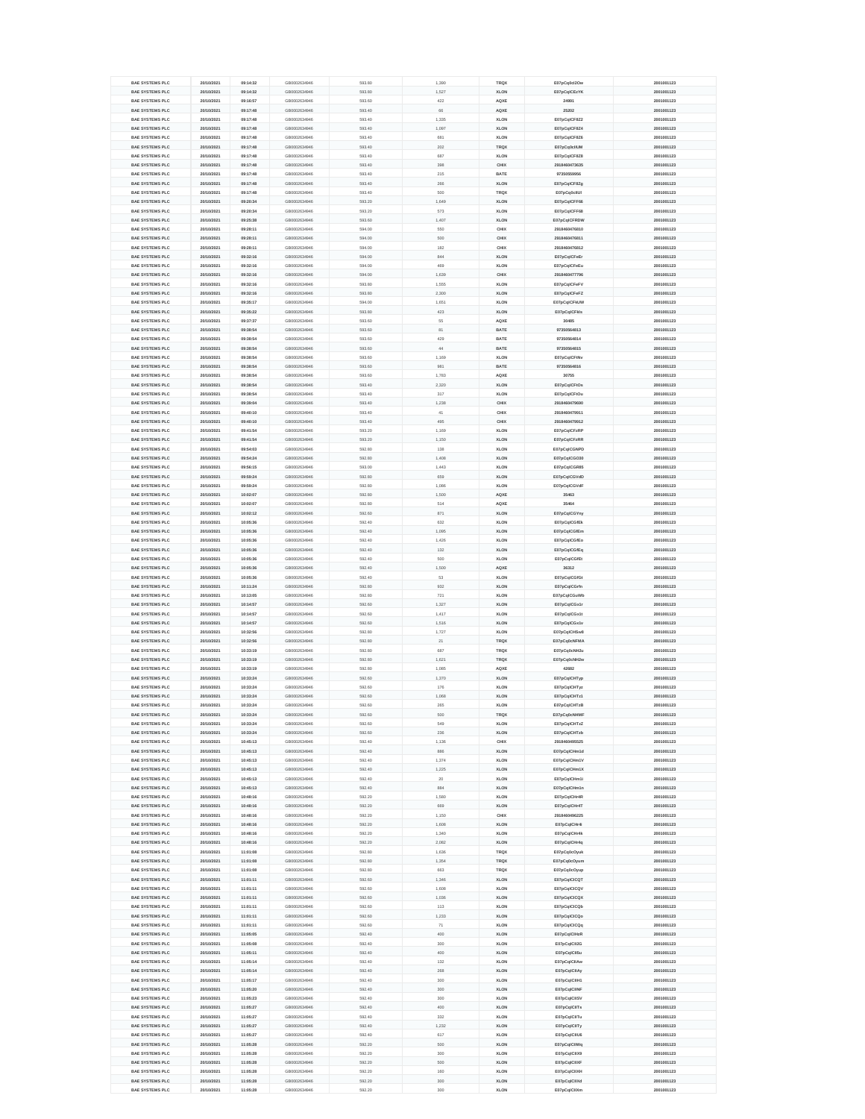| <b>BAE SYSTEMS PLC</b>                           | 20/10/2021               | 09:14:32             | GB0002634946                 | 593.80           | 1,390      | <b>TRQX</b>                | E07pCq0cl2Ow                 | 2001001123               |
|--------------------------------------------------|--------------------------|----------------------|------------------------------|------------------|------------|----------------------------|------------------------------|--------------------------|
| <b>BAE SYSTEMS PLC</b>                           | 20/10/2021               | 09:14:32             | GB0002634946                 | 593.80           | 1,527      | <b>XLON</b>                | E07pCqICEzYK                 | 2001001123               |
| <b>BAE SYSTEMS PLC</b>                           | 20/10/2021               | 09:16:57             | GB0002634946                 | 593.60           | 422        | <b>AQXE</b>                | 24991                        | 2001001123               |
| <b>BAE SYSTEMS PLC</b>                           | 20/10/2021               | 09:17:48             | GB0002634946                 | 593.40           | 66         | <b>AQXE</b>                | 25202                        | 2001001123               |
| <b>BAE SYSTEMS PLC</b>                           | 20/10/2021               | 09:17:48             | GB0002634946                 | 593.40           | 1,335      | <b>XLON</b>                | E07pCqICF8Z2                 | 2001001123               |
| <b>BAE SYSTEMS PLC</b>                           | 20/10/2021               | 09:17:48             | GB0002634946                 | 593.40           | 1,097      | <b>XLON</b>                | E07pCqICF8Z4                 | 2001001123               |
| <b>BAE SYSTEMS PLC</b>                           | 20/10/2021               | 09:17:48             | GB0002634946                 | 593.40           | 681        | <b>XLON</b>                | E07pCqICF8Z6                 | 2001001123               |
| <b>BAE SYSTEMS PLC</b>                           | 20/10/2021               | 09:17:48             | GB0002634946                 | 593.40           | 202        | <b>TRQX</b>                | E07pCq0cllUM                 | 2001001123               |
| <b>BAE SYSTEMS PLC</b>                           | 20/10/2021               | 09:17:48             | GB0002634946                 | 593.40           | 687        | <b>XLON</b>                | E07pCqICF8Z8                 | 2001001123               |
| <b>BAE SYSTEMS PLC</b>                           | 20/10/2021               | 09:17:48             | GB0002634946                 | 593.40           | 398        | <b>CHIX</b>                | 2918460473635                | 2001001123               |
| <b>BAE SYSTEMS PLC</b>                           | 20/10/2021               | 09:17:48             | GB0002634946                 | 593.40           | 215        | <b>BATE</b>                | 97350559956                  | 2001001123               |
|                                                  |                          |                      |                              |                  | 266        |                            |                              |                          |
| <b>BAE SYSTEMS PLC</b>                           | 20/10/2021               | 09:17:48             | GB0002634946                 | 593.40           |            | <b>XLON</b>                | E07pCqICF8Zg                 | 2001001123               |
| <b>BAE SYSTEMS PLC</b>                           | 20/10/2021               | 09:17:48             | GB0002634946                 | 593.40           | 500        | <b>TRQX</b>                | E07pCq0cllUI                 | 2001001123               |
| <b>BAE SYSTEMS PLC</b>                           | 20/10/2021               | 09:20:34             | GB0002634946                 | 593.20           | 1,649      | <b>XLON</b>                | E07pCqICFF66                 | 2001001123               |
| <b>BAE SYSTEMS PLC</b>                           | 20/10/2021               | 09:20:34             | GB0002634946                 | 593.20           | 573        | <b>XLON</b>                | E07pCqICFF68                 | 2001001123               |
| <b>BAE SYSTEMS PLC</b>                           | 20/10/2021               | 09:25:38             | GB0002634946                 | 593.60           | 1,407      | <b>XLON</b>                | E07pCqICFRDW                 | 2001001123               |
| <b>BAE SYSTEMS PLC</b>                           | 20/10/2021               | 09:28:11             | GB0002634946                 | 594.00           | 550        | <b>CHIX</b>                | 2918460476810                | 2001001123               |
| <b>BAE SYSTEMS PLC</b>                           | 20/10/2021               | 09:28:11             | GB0002634946                 | 594.00           | 500        | <b>CHIX</b>                | 2918460476811                | 2001001123               |
| <b>BAE SYSTEMS PLC</b>                           | 20/10/2021               | 09:28:11             | GB0002634946                 | 594.00           | 182        | <b>CHIX</b>                | 2918460476812                | 2001001123               |
| <b>BAE SYSTEMS PLC</b>                           | 20/10/2021               | 09:32:16             | GB0002634946                 | 594.00           | 844        | <b>XLON</b>                | E07pCqICFeEr                 | 2001001123               |
| <b>BAE SYSTEMS PLC</b>                           | 20/10/2021               | 09:32:16             | GB0002634946                 | 594.00           | 469        | <b>XLON</b>                | E07pCqICFeEu                 | 2001001123               |
| <b>BAE SYSTEMS PLC</b>                           | 20/10/2021               | 09:32:16             | GB0002634946                 | 594.00           | 1,639      | <b>CHIX</b>                | 2918460477796                | 2001001123               |
| <b>BAE SYSTEMS PLC</b>                           | 20/10/2021               | 09:32:16             | GB0002634946                 | 593.80           | 1,555      | <b>XLON</b>                | E07pCqICFeFV                 | 2001001123               |
| <b>BAE SYSTEMS PLC</b>                           | 20/10/2021               | 09:32:16             | GB0002634946                 | 593.80           | 2,300      | <b>XLON</b>                | E07pCqICFeFZ                 | 2001001123               |
| <b>BAE SYSTEMS PLC</b>                           | 20/10/2021               | 09:35:17             | GB0002634946                 | 594.00           | 1,651      | <b>XLON</b>                | E07pCqICFkUW                 | 2001001123               |
| <b>BAE SYSTEMS PLC</b>                           | 20/10/2021               | 09:35:22             | GB0002634946                 | 593.80           | 423        | <b>XLON</b>                | E07pCqICFkIs                 | 2001001123               |
| <b>BAE SYSTEMS PLC</b>                           | 20/10/2021               | 09:37:37             | GB0002634946                 | 593.60           | 55         | <b>AQXE</b>                | 30485                        | 2001001123               |
| <b>BAE SYSTEMS PLC</b>                           | 20/10/2021               | 09:38:54             | GB0002634946                 | 593.60           | 81         | <b>BATE</b>                | 97350564813                  | 2001001123               |
| <b>BAE SYSTEMS PLC</b>                           | 20/10/2021               | 09:38:54             | GB0002634946                 | 593.60           | 429        | <b>BATE</b>                | 97350564814                  | 2001001123               |
| <b>BAE SYSTEMS PLC</b>                           | 20/10/2021               | 09:38:54             | GB0002634946                 | 593.60           | 44         | <b>BATE</b>                | 97350564815                  | 2001001123               |
| <b>BAE SYSTEMS PLC</b>                           | 20/10/2021               | 09:38:54             | GB0002634946                 | 593.60           | 1,169      | <b>XLON</b>                | E07pCqICFtNv                 | 2001001123               |
| <b>BAE SYSTEMS PLC</b>                           | 20/10/2021               | 09:38:54             | GB0002634946                 | 593.60           | 981        | <b>BATE</b>                | 97350564816                  | 2001001123               |
| <b>BAE SYSTEMS PLC</b>                           | 20/10/2021               | 09:38:54             | GB0002634946                 | 593.60           | 1,783      | <b>AQXE</b>                | 30755                        | 2001001123               |
| <b>BAE SYSTEMS PLC</b>                           | 20/10/2021               | 09:38:54             | GB0002634946                 | 593.40           | 2,320      | <b>XLON</b>                | E07pCqICFtOs                 | 2001001123               |
| <b>BAE SYSTEMS PLC</b>                           | 20/10/2021               | 09:38:54             | GB0002634946                 | 593.40           | 317        | <b>XLON</b>                | E07pCqICFtOu                 | 2001001123               |
| <b>BAE SYSTEMS PLC</b>                           | 20/10/2021               | 09:39:04             | GB0002634946                 | 593.40           | 1,238      | <b>CHIX</b>                | 2918460479690                | 2001001123               |
| <b>BAE SYSTEMS PLC</b>                           | 20/10/2021               | 09:40:10             | GB0002634946                 | 593.40           | 41         | <b>CHIX</b>                | 2918460479911                | 2001001123               |
|                                                  |                          |                      |                              |                  | 495        |                            |                              |                          |
| <b>BAE SYSTEMS PLC</b>                           | 20/10/2021               | 09:40:10             | GB0002634946                 | 593.40           |            | <b>CHIX</b>                | 2918460479912                | 2001001123               |
| <b>BAE SYSTEMS PLC</b>                           | 20/10/2021               | 09:41:54             | GB0002634946                 | 593.20           | 1,169      | <b>XLON</b>                | E07pCqICFzRP                 | 2001001123               |
| <b>BAE SYSTEMS PLC</b>                           | 20/10/2021               | 09:41:54             | GB0002634946                 | 593.20           | 1,150      | <b>XLON</b>                | E07pCqICFzRR                 | 2001001123               |
| <b>BAE SYSTEMS PLC</b>                           | 20/10/2021               | 09:54:03             | GB0002634946                 | 592.80           | 138        | <b>XLON</b>                | E07pCqICGNPD                 | 2001001123               |
| <b>BAE SYSTEMS PLC</b>                           | 20/10/2021               | 09:54:24             | GB0002634946                 | 592.80           | 1,408      | <b>XLON</b>                | E07pCqICGO30                 | 2001001123               |
| <b>BAE SYSTEMS PLC</b>                           | 20/10/2021               | 09:56:15             | GB0002634946                 | 593.00           | 1,443      | <b>XLON</b>                | E07pCqICGR85                 | 2001001123               |
| <b>BAE SYSTEMS PLC</b>                           | 20/10/2021               | 09:59:24             | GB0002634946                 | 592.80           | 659        | <b>XLON</b>                | E07pCqICGVdD                 | 2001001123               |
| <b>BAE SYSTEMS PLC</b>                           | 20/10/2021               | 09:59:24             | GB0002634946                 | 592.80           | 1,086      | <b>XLON</b>                | E07pCqICGVdF                 | 2001001123               |
| <b>BAE SYSTEMS PLC</b>                           | 20/10/2021               | 10:02:07             | GB0002634946                 | 592.80           | 1,500      | <b>AQXE</b>                | 35463                        | 2001001123               |
| <b>BAE SYSTEMS PLC</b>                           | 20/10/2021               | 10:02:07             | GB0002634946                 | 592.80           | 514        | <b>AQXE</b>                | 35464                        | 2001001123               |
| <b>BAE SYSTEMS PLC</b>                           | 20/10/2021               | 10:02:12             | GB0002634946                 | 592.60           | 871        | <b>XLON</b>                | E07pCqICGYny                 | 2001001123               |
| <b>BAE SYSTEMS PLC</b>                           | 20/10/2021               | 10:05:36             | GB0002634946                 | 592.40           | 632        | <b>XLON</b>                | E07pCqICGfEk                 | 2001001123               |
| <b>BAE SYSTEMS PLC</b>                           | 20/10/2021               | 10:05:36             | GB0002634946                 | 592.40           | 1,095      | <b>XLON</b>                | E07pCqICGfEm                 | 2001001123               |
| <b>BAE SYSTEMS PLC</b>                           | 20/10/2021               | 10:05:36             | GB0002634946                 | 592.40           | 1,426      | <b>XLON</b>                | E07pCqICGfEo                 | 2001001123               |
| <b>BAE SYSTEMS PLC</b>                           | 20/10/2021               | 10:05:36             | GB0002634946                 | 592.40           | 132        | <b>XLON</b>                | E07pCqICGfEq                 | 2001001123               |
| <b>BAE SYSTEMS PLC</b>                           | 20/10/2021               | 10:05:36             | GB0002634946                 | 592.40           | 500        | <b>XLON</b>                | E07pCqICGfEt                 | 2001001123               |
| <b>BAE SYSTEMS PLC</b>                           | 20/10/2021               | 10:05:36             | GB0002634946                 | 592.40           | 1,500      | <b>AQXE</b>                | 36312                        | 2001001123               |
| <b>BAE SYSTEMS PLC</b>                           | 20/10/2021               | 10:05:36             | GB0002634946                 | 592.40           | 53         | <b>XLON</b>                | E07pCqICGfGt                 | 2001001123               |
| <b>BAE SYSTEMS PLC</b>                           | 20/10/2021               | 10:11:24             | GB0002634946                 | 592.80           | 932        | <b>XLON</b>                | E07pCqlCGrfn                 | 2001001123               |
| <b>BAE SYSTEMS PLC</b>                           | 20/10/2021               | 10:13:05             | GB0002634946                 | 592.80           | 721        | <b>XLON</b>                | E07pCqICGuWb                 | 2001001123               |
| <b>BAE SYSTEMS PLC</b>                           | 20/10/2021               | 10:14:57             | GB0002634946                 | 592.60           | 1,327      | <b>XLON</b>                | E07pCqICGx1r                 | 2001001123               |
| <b>BAE SYSTEMS PLC</b>                           | 20/10/2021               | 10:14:57             | GB0002634946                 | 592.60           | 1,417      | <b>XLON</b>                | E07pCqICGx1t                 | 2001001123               |
| <b>BAE SYSTEMS PLC</b>                           | 20/10/2021               | 10:14:57             | GB0002634946                 | 592.60           | 1,516      | <b>XLON</b>                | E07pCqICGx1v                 | 2001001123               |
| <b>BAE SYSTEMS PLC</b>                           | 20/10/2021               | 10:32:56             | GB0002634946                 | 592.80           | 1,727      | <b>XLON</b>                | E07pCqICHSw8                 | 2001001123               |
| <b>BAE SYSTEMS PLC</b>                           | 20/10/2021               | 10:32:56             | GB0002634946                 | 592.80           | 21         | <b>TRQX</b>                | E07pCq0cNFMA                 | 2001001123               |
| <b>BAE SYSTEMS PLC</b>                           | 20/10/2021               | 10:33:19             | GB0002634946                 | 592.80           | 687        | <b>TRQX</b>                |                              | 2001001123               |
| <b>BAE SYSTEMS PLC</b>                           |                          |                      |                              |                  |            | <b>TRQX</b>                | E07pCq0cNH2u                 |                          |
|                                                  | 20/10/2021               | 10:33:19             | GB0002634946                 | 592.80           | 1,621      |                            | E07pCq0cNH2w                 | 2001001123               |
| <b>BAE SYSTEMS PLC</b>                           | 20/10/2021               | 10:33:19             | GB0002634946                 | 592.80           | 1,085      | <b>AQXE</b>                | 42682                        | 2001001123               |
| <b>BAE SYSTEMS PLC</b>                           | 20/10/2021               | 10:33:24             | GB0002634946                 | 592.60           | 1,370      | <b>XLON</b>                | E07pCqICHTyp                 | 2001001123               |
| <b>BAE SYSTEMS PLC</b>                           | 20/10/2021               | 10:33:24             | GB0002634946                 | 592.60           | 176        | <b>XLON</b>                | E07pCqICHTyz                 | 2001001123               |
| <b>BAE SYSTEMS PLC</b>                           | 20/10/2021               | 10:33:24             | GB0002634946                 | 592.60           | 1,068      | <b>XLON</b>                | E07pCqICHTz1                 | 2001001123               |
| <b>BAE SYSTEMS PLC</b>                           | 20/10/2021               | 10:33:24             | GB0002634946                 | 592.60           | 265        | <b>XLON</b>                | E07pCqICHTzB                 | 2001001123               |
| <b>BAE SYSTEMS PLC</b>                           | 20/10/2021               | 10:33:24             | GB0002634946                 | 592.60           | 500        | <b>TRQX</b>                | E07pCq0cNHMF                 | 2001001123               |
| <b>BAE SYSTEMS PLC</b>                           | 20/10/2021               | 10:33:24             | GB0002634946                 | 592.60           | 549        | <b>XLON</b>                | E07pCqICHTzZ                 | 2001001123               |
| <b>BAE SYSTEMS PLC</b>                           | 20/10/2021               | 10:33:24             | GB0002634946                 | 592.60           | 236        | <b>XLON</b>                | E07pCqICHTzb                 | 2001001123               |
| <b>BAE SYSTEMS PLC</b>                           | 20/10/2021               | 10:45:13             | GB0002634946                 | 592.40           | 1,136      | <b>CHIX</b>                | 2918460495525                | 2001001123               |
| <b>BAE SYSTEMS PLC</b>                           | 20/10/2021               | 10:45:13             | GB0002634946                 | 592.40           | 886        | <b>XLON</b>                | E07pCqlCHm1d                 | 2001001123               |
| <b>BAE SYSTEMS PLC</b>                           | 20/10/2021               | 10:45:13             | GB0002634946                 | 592.40           | 1,374      | <b>XLON</b>                | E07pCqICHm1V                 | 2001001123               |
| <b>BAE SYSTEMS PLC</b>                           | 20/10/2021               | 10:45:13             | GB0002634946                 | 592.40           | 1,225      | <b>XLON</b>                | E07pCqICHm1X                 | 2001001123               |
| <b>BAE SYSTEMS PLC</b>                           | 20/10/2021               | 10:45:13             | GB0002634946                 | 592.40           | 20         | <b>XLON</b>                | E07pCqICHm1i                 | 2001001123               |
| <b>BAE SYSTEMS PLC</b>                           | 20/10/2021               | 10:45:13             | GB0002634946                 | 592.40           | 884        | <b>XLON</b>                | E07pCqlCHm1n                 | 2001001123               |
| <b>BAE SYSTEMS PLC</b>                           | 20/10/2021               | 10:48:16             | GB0002634946                 | 592.20           | 1,580      | <b>XLON</b>                | E07pCqICHr4R                 | 2001001123               |
| <b>BAE SYSTEMS PLC</b>                           | 20/10/2021               | 10:48:16             | GB0002634946                 | 592.20           | 669        | <b>XLON</b>                | E07pCqICHr4T                 | 2001001123               |
| <b>BAE SYSTEMS PLC</b>                           | 20/10/2021               | 10:48:16             | GB0002634946                 | 592.20           | 1,150      | <b>CHIX</b>                | 2918460496225                | 2001001123               |
| <b>BAE SYSTEMS PLC</b>                           | 20/10/2021               | 10:48:16             | GB0002634946                 | 592.20           | 1,608      | <b>XLON</b>                | E07pCqICHr4i                 | 2001001123               |
| <b>BAE SYSTEMS PLC</b>                           | 20/10/2021               | 10:48:16             | GB0002634946                 | 592.20           | 1,340      | <b>XLON</b>                | E07pCqICHr4k                 | 2001001123               |
| <b>BAE SYSTEMS PLC</b>                           | 20/10/2021               | 10:48:16             | GB0002634946                 | 592.20           | 2,082      | <b>XLON</b>                | E07pCqICHr4q                 | 2001001123               |
| <b>BAE SYSTEMS PLC</b>                           | 20/10/2021               | 11:01:08             | GB0002634946                 | 592.80           | 1,636      | <b>TRQX</b>                | E07pCq0cOyuk                 | 2001001123               |
| <b>BAE SYSTEMS PLC</b>                           | 20/10/2021               | 11:01:08             | GB0002634946                 | 592.80           | 1,354      | <b>TRQX</b>                | E07pCq0cOyum                 | 2001001123               |
| <b>BAE SYSTEMS PLC</b>                           | 20/10/2021               | 11:01:08             | GB0002634946                 | 592.80           | 663        | <b>TRQX</b>                | E07pCq0cOyup                 | 2001001123               |
| <b>BAE SYSTEMS PLC</b>                           | 20/10/2021               | 11:01:11             | GB0002634946                 | 592.60           | 1,346      | <b>XLON</b>                | E07pCqICICQT                 | 2001001123               |
|                                                  |                          |                      |                              |                  |            |                            |                              |                          |
| <b>BAE SYSTEMS PLC</b>                           | 20/10/2021               | 11:01:11             | GB0002634946                 | 592.60           | 1,608      | <b>XLON</b>                | E07pCqICICQV                 | 2001001123               |
| <b>BAE SYSTEMS PLC</b>                           | 20/10/2021               | 11:01:11             | GB0002634946                 | 592.60           | 1,036      | <b>XLON</b>                | E07pCqICICQX                 | 2001001123               |
| <b>BAE SYSTEMS PLC</b>                           | 20/10/2021               | 11:01:11             | GB0002634946                 | 592.60           | 113        | <b>XLON</b>                | E07pCqICICQb                 | 2001001123               |
| <b>BAE SYSTEMS PLC</b>                           | 20/10/2021               | 11:01:11             | GB0002634946                 | 592.60           | 1,233      | <b>XLON</b>                | E07pCqICICQo                 | 2001001123               |
| <b>BAE SYSTEMS PLC</b>                           | 20/10/2021               | 11:01:11             | GB0002634946                 | 592.60           | 71         | <b>XLON</b>                | E07pCqICICQq                 | 2001001123               |
| <b>BAE SYSTEMS PLC</b>                           | 20/10/2021               | 11:05:05             | GB0002634946                 | 592.40           | 400        | <b>XLON</b>                | E07pCqICIHzR                 | 2001001123               |
| <b>BAE SYSTEMS PLC</b>                           | 20/10/2021               | 11:05:08             | GB0002634946                 | 592.40           | 300        | <b>XLON</b>                | E07pCqICII2G                 | 2001001123               |
| <b>BAE SYSTEMS PLC</b>                           | 20/10/2021               | 11:05:11             | GB0002634946                 | 592.40           | 400        | <b>XLON</b>                | E07pCqICII5u                 | 2001001123               |
| <b>BAE SYSTEMS PLC</b>                           | 20/10/2021               | 11:05:14             | GB0002634946                 | 592.40           | 132        | <b>XLON</b>                | E07pCqICIIAw                 | 2001001123               |
| <b>BAE SYSTEMS PLC</b>                           | 20/10/2021               | 11:05:14             | GB0002634946                 | 592.40           | 268        | <b>XLON</b>                | E07pCqICIIAy                 | 2001001123               |
| <b>BAE SYSTEMS PLC</b>                           | 20/10/2021               | 11:05:17             | GB0002634946                 | 592.40           | 300        | <b>XLON</b>                | E07pCqICIIH1                 | 2001001123               |
| <b>BAE SYSTEMS PLC</b>                           | 20/10/2021               | 11:05:20             | GB0002634946                 | 592.40           | 300        | <b>XLON</b>                | E07pCqICIINF                 | 2001001123               |
| <b>BAE SYSTEMS PLC</b>                           | 20/10/2021               | 11:05:23             | GB0002634946                 | 592.40           | 300        | <b>XLON</b>                | E07pCqICIISV                 | 2001001123               |
| <b>BAE SYSTEMS PLC</b>                           | 20/10/2021               | 11:05:27             | GB0002634946                 | 592.40           | 400        | <b>XLON</b>                | E07pCqICIITs                 | 2001001123               |
| <b>BAE SYSTEMS PLC</b>                           | 20/10/2021               | 11:05:27             | GB0002634946                 | 592.40           | 332        | <b>XLON</b>                | E07pCqICIITu                 | 2001001123               |
| <b>BAE SYSTEMS PLC</b>                           | 20/10/2021               | 11:05:27             | GB0002634946                 | 592.40           | 1,232      | <b>XLON</b>                | E07pCqICIITy                 | 2001001123               |
|                                                  |                          |                      |                              |                  |            |                            |                              |                          |
| <b>BAE SYSTEMS PLC</b>                           |                          |                      |                              |                  |            |                            |                              |                          |
|                                                  | 20/10/2021               | 11:05:27             | GB0002634946                 | 592.40           | 617        | <b>XLON</b>                | E07pCqICIIU6                 | 2001001123               |
| <b>BAE SYSTEMS PLC</b><br><b>BAE SYSTEMS PLC</b> | 20/10/2021<br>20/10/2021 | 11:05:28             | GB0002634946<br>GB0002634946 | 592.20           | 500<br>300 | <b>XLON</b>                | E07pCqICIIWq                 | 2001001123<br>2001001123 |
|                                                  |                          | 11:05:28             |                              | 592.20           |            | <b>XLON</b>                | E07pCqICIIX9                 |                          |
| <b>BAE SYSTEMS PLC</b>                           | 20/10/2021               | 11:05:28             | GB0002634946                 | 592.20           | 500        | <b>XLON</b>                | E07pCqICIIXF                 | 2001001123               |
| <b>BAE SYSTEMS PLC</b><br><b>BAE SYSTEMS PLC</b> | 20/10/2021<br>20/10/2021 | 11:05:28<br>11:05:28 | GB0002634946<br>GB0002634946 | 592.20<br>592.20 | 160<br>300 | <b>XLON</b><br><b>XLON</b> | E07pCqICIIXH<br>E07pCqICIIXd | 2001001123<br>2001001123 |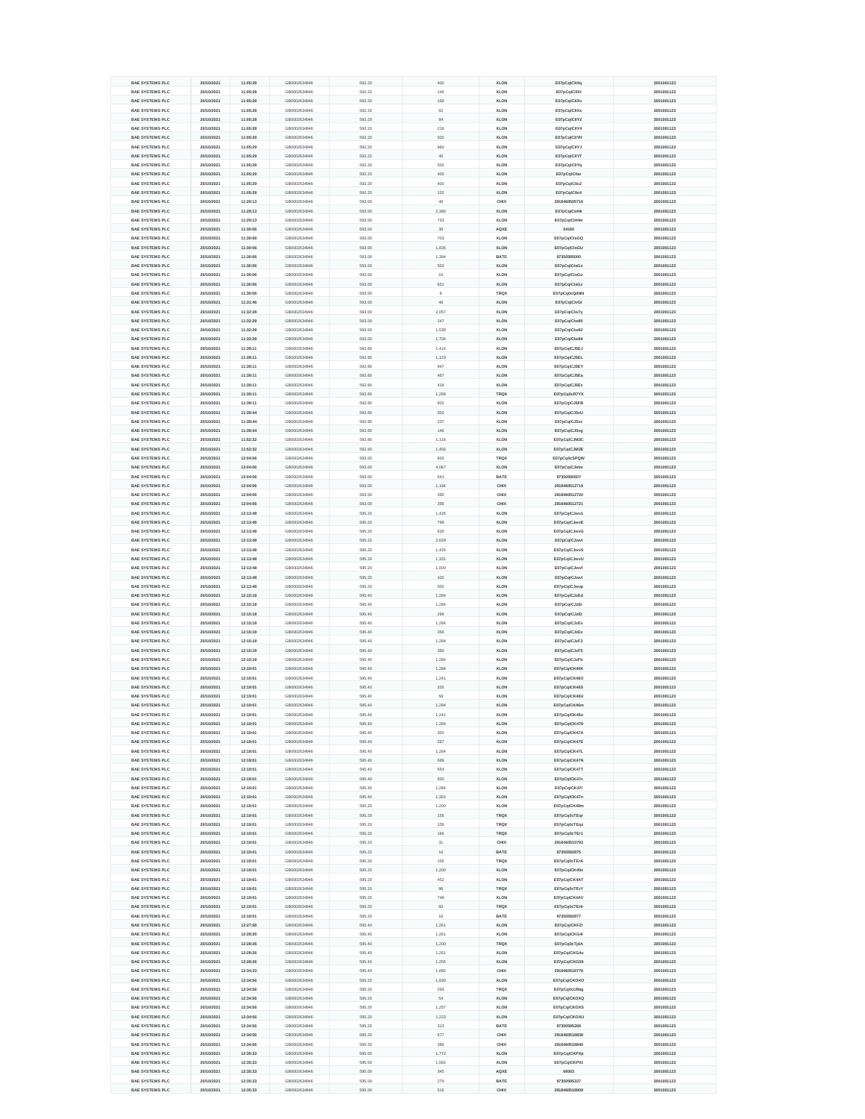|                        | 20/10/2021 | 11:05:28 | GB0002634946 | 592.20 | 400   | <b>XLON</b> | E07pCqlCllXq  | 2001001123 |
|------------------------|------------|----------|--------------|--------|-------|-------------|---------------|------------|
| <b>BAE SYSTEMS PLC</b> |            |          |              | 592.20 | 146   | <b>XLON</b> |               |            |
| <b>BAE SYSTEMS PLC</b> | 20/10/2021 | 11:05:28 | GB0002634946 |        |       |             | E07pCqICIIXt  | 2001001123 |
| <b>BAE SYSTEMS PLC</b> | 20/10/2021 | 11:05:28 | GB0002634946 | 592.20 | 168   | <b>XLON</b> | E07pCqICIIXv  | 2001001123 |
| <b>BAE SYSTEMS PLC</b> | 20/10/2021 | 11:05:28 | GB0002634946 | 592.20 | 62    | <b>XLON</b> | E07pCqICIIXx  | 2001001123 |
| <b>BAE SYSTEMS PLC</b> | 20/10/2021 | 11:05:28 | GB0002634946 | 592.20 | 84    | <b>XLON</b> | E07pCqICIIY2  | 2001001123 |
| <b>BAE SYSTEMS PLC</b> | 20/10/2021 | 11:05:28 | GB0002634946 | 592.20 | 216   | <b>XLON</b> | E07pCqICIIY4  | 2001001123 |
| <b>BAE SYSTEMS PLC</b> | 20/10/2021 | 11:05:29 | GB0002634946 | 592.20 | 500   | <b>XLON</b> | E07pCqICIIYH  | 2001001123 |
| <b>BAE SYSTEMS PLC</b> | 20/10/2021 | 11:05:29 | GB0002634946 | 592.20 | 960   | <b>XLON</b> | E07pCqICIIYJ  | 2001001123 |
|                        |            |          |              |        |       |             |               |            |
| <b>BAE SYSTEMS PLC</b> | 20/10/2021 | 11:05:29 | GB0002634946 | 592.20 | 40    | <b>XLON</b> | E07pCqICIIYT  | 2001001123 |
| <b>BAE SYSTEMS PLC</b> | 20/10/2021 | 11:05:29 | GB0002634946 | 592.20 | 500   | <b>XLON</b> | E07pCqICIIYq  | 2001001123 |
| <b>BAE SYSTEMS PLC</b> | 20/10/2021 | 11:05:29 | GB0002634946 | 592.20 | 400   | <b>XLON</b> | E07pCqlCllar  | 2001001123 |
| <b>BAE SYSTEMS PLC</b> | 20/10/2021 | 11:05:29 | GB0002634946 | 592.20 | 400   | <b>XLON</b> | E07pCqICIIc2  | 2001001123 |
| <b>BAE SYSTEMS PLC</b> | 20/10/2021 | 11:05:29 | GB0002634946 | 592.20 | 120   | <b>XLON</b> | E07pCqICIIc4  | 2001001123 |
|                        |            |          |              |        |       |             |               |            |
| <b>BAE SYSTEMS PLC</b> | 20/10/2021 | 11:29:13 | GB0002634946 | 593.00 | 46    | <b>CHIX</b> | 2918460505716 | 2001001123 |
| <b>BAE SYSTEMS PLC</b> | 20/10/2021 | 11:29:13 | GB0002634946 | 593.00 | 2,380 | <b>XLON</b> | E07pCqlClrHk  | 2001001123 |
| <b>BAE SYSTEMS PLC</b> | 20/10/2021 | 11:29:13 | GB0002634946 | 593.00 | 733   | <b>XLON</b> | E07pCqlClrHm  | 2001001123 |
| <b>BAE SYSTEMS PLC</b> | 20/10/2021 | 11:30:06 | GB0002634946 | 593.00 | 36    | <b>AQXE</b> | 54160         | 2001001123 |
| <b>BAE SYSTEMS PLC</b> | 20/10/2021 | 11:30:06 | GB0002634946 | 593.00 | 703   | <b>XLON</b> | E07pCqlClsGQ  | 2001001123 |
|                        |            |          |              |        |       |             |               |            |
| <b>BAE SYSTEMS PLC</b> | 20/10/2021 | 11:30:06 | GB0002634946 | 593.00 | 1,836 | <b>XLON</b> | E07pCqICIsGU  | 2001001123 |
| <b>BAE SYSTEMS PLC</b> | 20/10/2021 | 11:30:06 | GB0002634946 | 593.00 | 1,394 | <b>BATE</b> | 97350585000   | 2001001123 |
| <b>BAE SYSTEMS PLC</b> | 20/10/2021 | 11:30:06 | GB0002634946 | 593.00 | 500   | <b>XLON</b> | E07pCqlClsGs  | 2001001123 |
| <b>BAE SYSTEMS PLC</b> | 20/10/2021 | 11:30:06 | GB0002634946 | 593.00 | 16    | <b>XLON</b> | E07pCqICIsGu  | 2001001123 |
|                        |            |          |              | 593.00 | 651   | <b>XLON</b> |               |            |
| <b>BAE SYSTEMS PLC</b> | 20/10/2021 | 11:30:06 | GB0002634946 |        |       |             | E07pCqlClsGz  | 2001001123 |
| <b>BAE SYSTEMS PLC</b> | 20/10/2021 | 11:30:06 | GB0002634946 | 593.00 | 8     | <b>TRQX</b> | E07pCq0cQdNN  | 2001001123 |
| <b>BAE SYSTEMS PLC</b> | 20/10/2021 | 11:31:46 | GB0002634946 | 593.00 | 46    | <b>XLON</b> | E07pCqICIvGI  | 2001001123 |
| <b>BAE SYSTEMS PLC</b> | 20/10/2021 | 11:32:28 | GB0002634946 | 593.00 | 2,057 | <b>XLON</b> | E07pCqIClw7y  | 2001001123 |
| <b>BAE SYSTEMS PLC</b> | 20/10/2021 | 11:32:28 | GB0002634946 | 593.00 | 247   | <b>XLON</b> | E07pCqIClw80  | 2001001123 |
| <b>BAE SYSTEMS PLC</b> | 20/10/2021 | 11:32:28 | GB0002634946 | 593.00 | 1,538 | <b>XLON</b> | E07pCqICIw82  | 2001001123 |
| <b>BAE SYSTEMS PLC</b> | 20/10/2021 |          | GB0002634946 | 593.00 | 1,704 | <b>XLON</b> |               | 2001001123 |
|                        |            | 11:32:28 |              |        |       |             | E07pCqIClw84  |            |
| <b>BAE SYSTEMS PLC</b> | 20/10/2021 | 11:39:11 | GB0002634946 | 592.80 | 1,414 | <b>XLON</b> | E07pCqICJ5EJ  | 2001001123 |
| <b>BAE SYSTEMS PLC</b> | 20/10/2021 | 11:39:11 | GB0002634946 | 592.80 | 1,123 | <b>XLON</b> | E07pCqICJ5EL  | 2001001123 |
| <b>BAE SYSTEMS PLC</b> | 20/10/2021 | 11:39:11 | GB0002634946 | 592.80 | 947   | <b>XLON</b> | E07pCqICJ5EY  | 2001001123 |
| <b>BAE SYSTEMS PLC</b> | 20/10/2021 | 11:39:11 | GB0002634946 | 592.80 | 467   | <b>XLON</b> | E07pCqICJ5Ea  | 2001001123 |
| <b>BAE SYSTEMS PLC</b> | 20/10/2021 | 11:39:11 | GB0002634946 | 592.80 | 418   | <b>XLON</b> | E07pCqICJ5Ec  | 2001001123 |
|                        |            |          |              |        |       |             |               |            |
| <b>BAE SYSTEMS PLC</b> | 20/10/2021 | 11:39:11 | GB0002634946 | 592.80 | 1,269 | <b>TRQX</b> | E07pCq0cR7YX  | 2001001123 |
| <b>BAE SYSTEMS PLC</b> | 20/10/2021 | 11:39:11 | GB0002634946 | 592.80 | 602   | <b>XLON</b> | E07pCqICJ5FB  | 2001001123 |
| <b>BAE SYSTEMS PLC</b> | 20/10/2021 | 11:39:44 | GB0002634946 | 592.80 | 500   | <b>XLON</b> | E07pCqICJ5vU  | 2001001123 |
| <b>BAE SYSTEMS PLC</b> | 20/10/2021 | 11:39:44 | GB0002634946 | 592.80 | 237   | <b>XLON</b> | E07pCqICJ5vc  | 2001001123 |
| <b>BAE SYSTEMS PLC</b> | 20/10/2021 | 11:39:44 | GB0002634946 | 592.80 | 146   | <b>XLON</b> | E07pCqICJ5vg  | 2001001123 |
|                        |            |          |              |        |       |             |               |            |
| <b>BAE SYSTEMS PLC</b> | 20/10/2021 | 11:52:32 | GB0002634946 | 592.80 | 1,116 | <b>XLON</b> | E07pCqICJM2C  | 2001001123 |
| <b>BAE SYSTEMS PLC</b> | 20/10/2021 | 11:52:32 | GB0002634946 | 592.80 | 1,456 | <b>XLON</b> | E07pCqICJM2E  | 2001001123 |
| <b>BAE SYSTEMS PLC</b> | 20/10/2021 | 12:04:06 | GB0002634946 | 593.00 | 600   | <b>TRQX</b> | E07pCq0cSPQW  | 2001001123 |
| <b>BAE SYSTEMS PLC</b> | 20/10/2021 | 12:04:06 | GB0002634946 | 593.00 | 4,067 | <b>XLON</b> | E07pCqICJelm  | 2001001123 |
| <b>BAE SYSTEMS PLC</b> | 20/10/2021 | 12:04:06 | GB0002634946 | 593.00 | 641   | <b>BATE</b> | 97350590507   | 2001001123 |
|                        |            |          |              |        |       |             |               |            |
| <b>BAE SYSTEMS PLC</b> | 20/10/2021 | 12:04:06 | GB0002634946 | 593.00 | 1,184 | <b>CHIX</b> | 2918460512719 | 2001001123 |
| <b>BAE SYSTEMS PLC</b> | 20/10/2021 | 12:04:06 | GB0002634946 | 593.00 | 395   | <b>CHIX</b> | 2918460512720 | 2001001123 |
| <b>BAE SYSTEMS PLC</b> | 20/10/2021 | 12:04:06 | GB0002634946 | 593.00 | 396   | <b>CHIX</b> | 2918460512721 | 2001001123 |
| <b>BAE SYSTEMS PLC</b> | 20/10/2021 | 12:13:48 | GB0002634946 | 595.20 | 1,426 | <b>XLON</b> | E07pCqICJwv1  | 2001001123 |
| <b>BAE SYSTEMS PLC</b> | 20/10/2021 | 12:13:48 | GB0002634946 | 595.20 | 798   | <b>XLON</b> | E07pCqICJwvE  | 2001001123 |
| <b>BAE SYSTEMS PLC</b> | 20/10/2021 | 12:13:48 | GB0002634946 | 595.20 | 628   | <b>XLON</b> | E07pCqICJwvG  | 2001001123 |
|                        |            |          |              |        |       |             |               |            |
| <b>BAE SYSTEMS PLC</b> | 20/10/2021 | 12:13:48 | GB0002634946 | 595.20 | 2,629 | <b>XLON</b> | E07pCqICJwvI  | 2001001123 |
| <b>BAE SYSTEMS PLC</b> | 20/10/2021 | 12:13:48 | GB0002634946 | 595.20 | 1,426 | <b>XLON</b> | E07pCqICJwvS  | 2001001123 |
| <b>BAE SYSTEMS PLC</b> | 20/10/2021 | 12:13:48 | GB0002634946 | 595.20 | 1,331 | <b>XLON</b> | E07pCqICJwvU  | 2001001123 |
| <b>BAE SYSTEMS PLC</b> | 20/10/2021 | 12:13:48 | GB0002634946 | 595.20 | 1,000 | <b>XLON</b> | E07pCqICJwvf  | 2001001123 |
| <b>BAE SYSTEMS PLC</b> | 20/10/2021 | 12:13:48 | GB0002634946 | 595.20 | 426   | <b>XLON</b> | E07pCqICJwvl  | 2001001123 |
| <b>BAE SYSTEMS PLC</b> | 20/10/2021 | 12:13:48 | GB0002634946 |        |       |             |               |            |
|                        |            |          |              |        |       |             |               |            |
|                        |            |          |              | 595.20 | 500   | <b>XLON</b> | E07pCqICJwvp  | 2001001123 |
| <b>BAE SYSTEMS PLC</b> | 20/10/2021 | 12:15:18 | GB0002634946 | 595.40 | 1,284 | <b>XLON</b> | E07pCqICJzEd  | 2001001123 |
| <b>BAE SYSTEMS PLC</b> | 20/10/2021 | 12:15:18 | GB0002634946 | 595.40 | 1,284 | <b>XLON</b> | E07pCqICJzEr  | 2001001123 |
| <b>BAE SYSTEMS PLC</b> | 20/10/2021 | 12:15:18 | GB0002634946 | 595.40 | 296   | <b>XLON</b> | E07pCqICJzEt  | 2001001123 |
| <b>BAE SYSTEMS PLC</b> | 20/10/2021 | 12:15:18 | GB0002634946 | 595.40 | 1,284 | <b>XLON</b> | E07pCqICJzEx  | 2001001123 |
| <b>BAE SYSTEMS PLC</b> | 20/10/2021 |          | GB0002634946 | 595.40 | 366   |             |               | 2001001123 |
|                        |            | 12:15:18 |              |        |       | <b>XLON</b> | E07pCqICJzEz  |            |
| <b>BAE SYSTEMS PLC</b> | 20/10/2021 | 12:15:18 | GB0002634946 | 595.40 | 1,284 | <b>XLON</b> | E07pCqICJzF3  | 2001001123 |
| <b>BAE SYSTEMS PLC</b> | 20/10/2021 | 12:15:18 | GB0002634946 | 595.40 | 366   | <b>XLON</b> | E07pCqICJzF5  | 2001001123 |
| <b>BAE SYSTEMS PLC</b> | 20/10/2021 | 12:15:18 | GB0002634946 | 595.40 | 1,284 | <b>XLON</b> | E07pCqICJzFb  | 2001001123 |
| <b>BAE SYSTEMS PLC</b> | 20/10/2021 | 12:19:01 | GB0002634946 | 595.40 | 1,284 | <b>XLON</b> | E07pCqICK46K  | 2001001123 |
| <b>BAE SYSTEMS PLC</b> | 20/10/2021 | 12:19:01 | GB0002634946 | 595.40 | 1,241 | <b>XLON</b> | E07pCqICK46O  | 2001001123 |
| <b>BAE SYSTEMS PLC</b> | 20/10/2021 | 12:19:01 | GB0002634946 | 595.40 | 335   | <b>XLON</b> | E07pCqICK46S  | 2001001123 |
|                        |            |          |              |        |       |             |               |            |
| <b>BAE SYSTEMS PLC</b> | 20/10/2021 | 12:19:01 | GB0002634946 | 595.40 | 58    | <b>XLON</b> | E07pCqICK46U  | 2001001123 |
| <b>BAE SYSTEMS PLC</b> | 20/10/2021 | 12:19:01 | GB0002634946 | 595.40 | 1,284 | <b>XLON</b> | E07pCqICK46m  | 2001001123 |
| <b>BAE SYSTEMS PLC</b> | 20/10/2021 | 12:19:01 | GB0002634946 | 595.40 | 1,241 | <b>XLON</b> | E07pCqICK46o  | 2001001123 |
| <b>BAE SYSTEMS PLC</b> | 20/10/2021 | 12:19:01 | GB0002634946 | 595.40 | 1,284 | <b>XLON</b> | E07pCqICK478  | 2001001123 |
| <b>BAE SYSTEMS PLC</b> | 20/10/2021 | 12:19:01 | GB0002634946 | 595.40 | 300   | <b>XLON</b> | E07pCqICK47A  | 2001001123 |
| <b>BAE SYSTEMS PLC</b> | 20/10/2021 | 12:19:01 | GB0002634946 | 595.40 | 587   | <b>XLON</b> |               | 2001001123 |
|                        |            |          |              |        |       |             | E07pCqICK47E  |            |
| <b>BAE SYSTEMS PLC</b> | 20/10/2021 | 12:19:01 | GB0002634946 | 595.40 | 1,284 | <b>XLON</b> | E07pCqICK47L  | 2001001123 |
| <b>BAE SYSTEMS PLC</b> | 20/10/2021 | 12:19:01 | GB0002634946 | 595.40 | 689   | <b>XLON</b> | E07pCqICK47N  | 2001001123 |
| <b>BAE SYSTEMS PLC</b> | 20/10/2021 | 12:19:01 | GB0002634946 | 595.40 | 654   | <b>XLON</b> | E07pCqICK47T  | 2001001123 |
| <b>BAE SYSTEMS PLC</b> | 20/10/2021 | 12:19:01 | GB0002634946 | 595.40 | 500   | <b>XLON</b> | E07pCqICK47c  | 2001001123 |
| <b>BAE SYSTEMS PLC</b> | 20/10/2021 | 12:19:01 | GB0002634946 | 595.40 | 1,284 | <b>XLON</b> | E07pCqICK47I  | 2001001123 |
| <b>BAE SYSTEMS PLC</b> | 20/10/2021 | 12:19:01 | GB0002634946 | 595.40 | 1,301 | <b>XLON</b> | E07pCqICK47n  | 2001001123 |
|                        |            |          |              |        |       |             |               |            |
| <b>BAE SYSTEMS PLC</b> | 20/10/2021 | 12:19:01 | GB0002634946 | 595.20 | 1,200 | <b>XLON</b> | E07pCqICK49m  | 2001001123 |
| <b>BAE SYSTEMS PLC</b> | 20/10/2021 | 12:19:01 | GB0002634946 | 595.20 | 156   | <b>TRQX</b> | E07pCq0cTEqr  | 2001001123 |
| <b>BAE SYSTEMS PLC</b> | 20/10/2021 | 12:19:01 | GB0002634946 | 595.20 | 156   | <b>TRQX</b> | E07pCq0cTEqz  | 2001001123 |
| <b>BAE SYSTEMS PLC</b> | 20/10/2021 | 12:19:01 | GB0002634946 | 595.20 | 166   | <b>TRQX</b> | E07pCq0cTEr1  | 2001001123 |
| <b>BAE SYSTEMS PLC</b> | 20/10/2021 | 12:19:01 | GB0002634946 | 595.20 | 31    | <b>CHIX</b> | 2918460515793 | 2001001123 |
| <b>BAE SYSTEMS PLC</b> | 20/10/2021 | 12:19:01 | GB0002634946 | 595.20 | 16    | <b>BATE</b> | 97350592875   | 2001001123 |
|                        |            |          |              |        |       |             |               |            |
| <b>BAE SYSTEMS PLC</b> | 20/10/2021 | 12:19:01 | GB0002634946 | 595.20 | 156   | <b>TRQX</b> | E07pCq0cTErA  | 2001001123 |
| <b>BAE SYSTEMS PLC</b> | 20/10/2021 | 12:19:01 | GB0002634946 | 595.20 | 1,200 | <b>XLON</b> | E07pCqICK49x  | 2001001123 |
| <b>BAE SYSTEMS PLC</b> | 20/10/2021 | 12:19:01 | GB0002634946 | 595.20 | 452   | <b>XLON</b> | E07pCqICK4AT  | 2001001123 |
| <b>BAE SYSTEMS PLC</b> | 20/10/2021 | 12:19:01 | GB0002634946 | 595.20 | 96    | <b>TRQX</b> | E07pCq0cTErY  | 2001001123 |
| <b>BAE SYSTEMS PLC</b> | 20/10/2021 | 12:19:01 | GB0002634946 | 595.20 | 748   | <b>XLON</b> | E07pCqICK4AV  | 2001001123 |
| <b>BAE SYSTEMS PLC</b> | 20/10/2021 | 12:19:01 | GB0002634946 | 595.20 | 60    | <b>TRQX</b> |               | 2001001123 |
|                        |            |          |              |        |       |             | E07pCq0cTErb  |            |
| <b>BAE SYSTEMS PLC</b> | 20/10/2021 | 12:19:01 | GB0002634946 | 595.20 | 16    | <b>BATE</b> | 97350592877   | 2001001123 |
| <b>BAE SYSTEMS PLC</b> | 20/10/2021 | 12:27:58 | GB0002634946 | 595.40 | 1,261 | <b>XLON</b> | E07pCqICKFZI  | 2001001123 |
| <b>BAE SYSTEMS PLC</b> | 20/10/2021 | 12:28:26 | GB0002634946 | 595.40 | 1,261 | <b>XLON</b> | E07pCqICKG4i  | 2001001123 |
| <b>BAE SYSTEMS PLC</b> | 20/10/2021 | 12:28:26 | GB0002634946 | 595.40 | 1,200 | <b>TRQX</b> | E07pCq0cTjdA  | 2001001123 |
| <b>BAE SYSTEMS PLC</b> | 20/10/2021 | 12:28:26 | GB0002634946 | 595.40 | 1,261 | <b>XLON</b> | E07pCqICKG4u  | 2001001123 |
| <b>BAE SYSTEMS PLC</b> | 20/10/2021 | 12:28:26 | GB0002634946 | 595.40 | 1,255 | <b>XLON</b> | E07pCqICKG59  | 2001001123 |
|                        |            |          |              |        |       |             |               |            |
| <b>BAE SYSTEMS PLC</b> | 20/10/2021 | 12:34:33 | GB0002634946 | 595.40 | 1,892 | <b>CHIX</b> | 2918460518778 | 2001001123 |
| <b>BAE SYSTEMS PLC</b> | 20/10/2021 | 12:34:56 | GB0002634946 | 595.20 | 1,930 | <b>XLON</b> | E07pCqICKOXO  | 2001001123 |
| <b>BAE SYSTEMS PLC</b> | 20/10/2021 | 12:34:56 | GB0002634946 | 595.20 | 293   | <b>TRQX</b> | E07pCq0cU5bg  | 2001001123 |
| <b>BAE SYSTEMS PLC</b> | 20/10/2021 | 12:34:56 | GB0002634946 | 595.20 | 54    | <b>XLON</b> | E07pCqICKOXQ  | 2001001123 |
| <b>BAE SYSTEMS PLC</b> | 20/10/2021 | 12:34:56 | GB0002634946 | 595.20 | 1,257 | <b>XLON</b> | E07pCqICKOXS  | 2001001123 |
| <b>BAE SYSTEMS PLC</b> | 20/10/2021 | 12:34:56 | GB0002634946 | 595.20 | 1,223 | <b>XLON</b> | E07pCqICKOXU  | 2001001123 |
| <b>BAE SYSTEMS PLC</b> | 20/10/2021 | 12:34:56 | GB0002634946 | 595.20 | 313   | <b>BATE</b> | 97350595268   | 2001001123 |
|                        |            |          |              |        |       |             |               |            |
| <b>BAE SYSTEMS PLC</b> | 20/10/2021 | 12:34:56 | GB0002634946 | 595.20 | 577   | <b>CHIX</b> | 2918460518838 | 2001001123 |
| <b>BAE SYSTEMS PLC</b> | 20/10/2021 | 12:34:56 | GB0002634946 | 595.20 | 386   | <b>CHIX</b> | 2918460518840 | 2001001123 |
| <b>BAE SYSTEMS PLC</b> | 20/10/2021 | 12:35:33 | GB0002634946 | 595.00 | 1,772 | <b>XLON</b> | E07pCqICKPXp  | 2001001123 |
| <b>BAE SYSTEMS PLC</b> | 20/10/2021 | 12:35:33 | GB0002634946 | 595.00 | 1,562 | <b>XLON</b> | E07pCqICKPXt  | 2001001123 |
| <b>BAE SYSTEMS PLC</b> | 20/10/2021 | 12:35:33 | GB0002634946 | 595.00 | 345   | <b>AQXE</b> | 66003         | 2001001123 |
| <b>BAE SYSTEMS PLC</b> | 20/10/2021 | 12:35:33 | GB0002634946 | 595.00 | 279   | <b>BATE</b> | 97350595337   | 2001001123 |
| <b>BAE SYSTEMS PLC</b> | 20/10/2021 | 12:35:33 | GB0002634946 | 595.00 | 516   | <b>CHIX</b> | 2918460518909 | 2001001123 |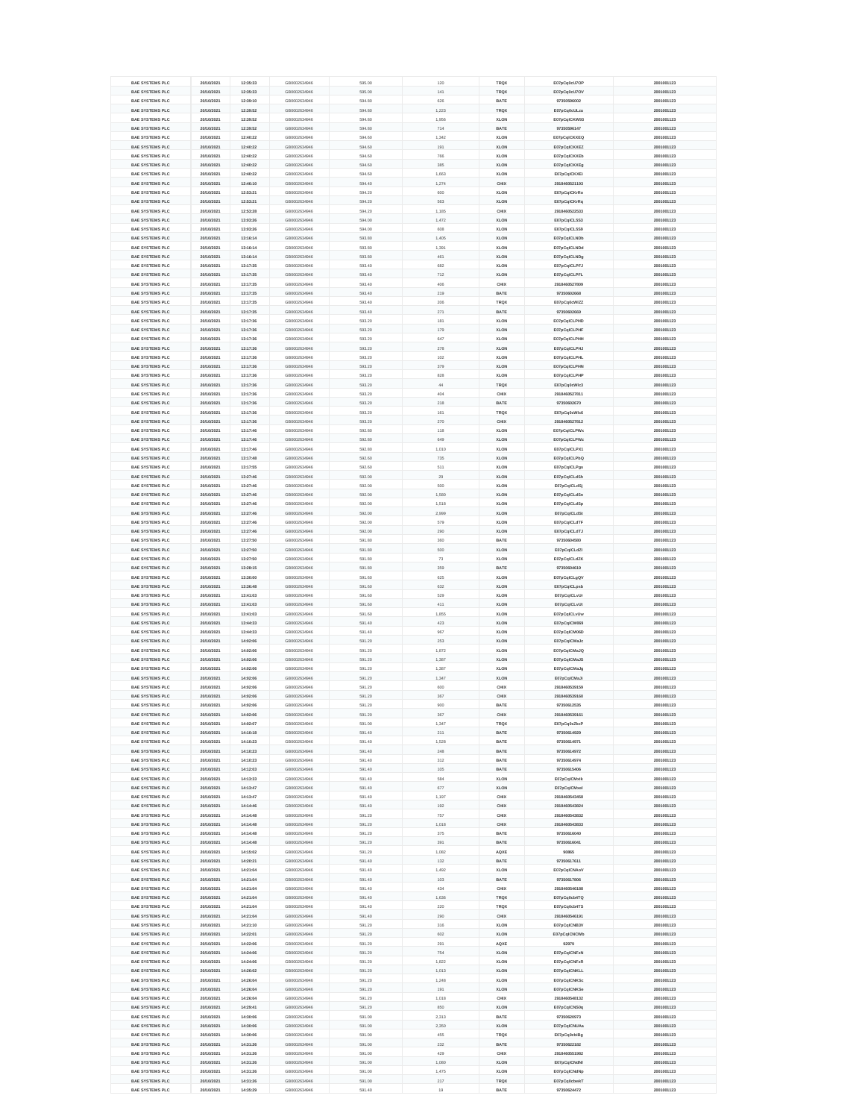| <b>BAE SYSTEMS PLC</b>                           | 20/10/2021               | 12:35:33             | GB0002634946                 | 595.00           | 120          | <b>TRQX</b>                | E07pCq0cU7OP               | 2001001123               |
|--------------------------------------------------|--------------------------|----------------------|------------------------------|------------------|--------------|----------------------------|----------------------------|--------------------------|
| <b>BAE SYSTEMS PLC</b>                           | 20/10/2021               | 12:35:33             | GB0002634946                 | 595.00           | 141          | <b>TRQX</b>                | E07pCq0cU7OV               | 2001001123               |
| <b>BAE SYSTEMS PLC</b>                           | 20/10/2021               | 12:39:10             | GB0002634946                 | 594.80           | 626          | <b>BATE</b>                | 97350596002                | 2001001123               |
| <b>BAE SYSTEMS PLC</b>                           | 20/10/2021               | 12:39:52             | GB0002634946                 | 594.80           | 1,223        | <b>TRQX</b>                | E07pCq0cULzu               | 2001001123               |
| <b>BAE SYSTEMS PLC</b>                           | 20/10/2021               | 12:39:52             | GB0002634946                 | 594.80           | 1,956        | <b>XLON</b>                | E07pCqICKW93               | 2001001123               |
| <b>BAE SYSTEMS PLC</b>                           | 20/10/2021               | 12:39:52             | GB0002634946                 | 594.80           | 714          | <b>BATE</b>                | 97350596147                | 2001001123               |
| <b>BAE SYSTEMS PLC</b>                           | 20/10/2021               | 12:40:22             | GB0002634946                 | 594.60           | 1,342        | <b>XLON</b>                | E07pCqICKXEQ               | 2001001123               |
| <b>BAE SYSTEMS PLC</b>                           | 20/10/2021               | 12:40:22             | GB0002634946                 | 594.60           | 191          | <b>XLON</b>                | E07pCqICKXEZ               | 2001001123               |
| <b>BAE SYSTEMS PLC</b>                           | 20/10/2021               | 12:40:22             | GB0002634946                 | 594.60           | 766          | <b>XLON</b>                | E07pCqICKXEb               | 2001001123               |
| <b>BAE SYSTEMS PLC</b>                           | 20/10/2021               | 12:40:22             | GB0002634946                 | 594.60           | 385          | <b>XLON</b>                | E07pCqICKXEg               | 2001001123               |
| <b>BAE SYSTEMS PLC</b>                           | 20/10/2021               | 12:40:22             | GB0002634946                 | 594.60           | 1,663        | <b>XLON</b>                | E07pCqICKXEi               | 2001001123               |
| <b>BAE SYSTEMS PLC</b>                           | 20/10/2021               | 12:46:10             | GB0002634946                 | 594.40           | 1,274        | <b>CHIX</b>                | 2918460521193              | 2001001123               |
| <b>BAE SYSTEMS PLC</b>                           | 20/10/2021               | 12:53:21             | GB0002634946                 | 594.20           | 600          | <b>XLON</b>                | E07pCqICKrRo               | 2001001123               |
| <b>BAE SYSTEMS PLC</b>                           | 20/10/2021               | 12:53:21             | GB0002634946                 | 594.20           | 563          | <b>XLON</b>                | E07pCqICKrRq               | 2001001123               |
|                                                  |                          |                      |                              | 594.20           | 1,185        | <b>CHIX</b>                |                            |                          |
| <b>BAE SYSTEMS PLC</b>                           | 20/10/2021               | 12:53:28             | GB0002634946                 |                  |              |                            | 2918460522533              | 2001001123               |
| <b>BAE SYSTEMS PLC</b>                           | 20/10/2021               | 13:03:26             | GB0002634946                 | 594.00           | 1,472        | <b>XLON</b>                | E07pCqICL5S3               | 2001001123               |
| <b>BAE SYSTEMS PLC</b>                           | 20/10/2021               | 13:03:26             | GB0002634946                 | 594.00           | 608          | <b>XLON</b>                | E07pCqICL5S9               | 2001001123               |
| <b>BAE SYSTEMS PLC</b>                           | 20/10/2021               | 13:16:14             | GB0002634946                 | 593.80           | 1,405        | <b>XLON</b>                | E07pCqICLNDb               | 2001001123               |
| <b>BAE SYSTEMS PLC</b>                           | 20/10/2021               | 13:16:14             | GB0002634946                 | 593.80           | 1,391        | <b>XLON</b>                | E07pCqICLNDd               | 2001001123               |
| <b>BAE SYSTEMS PLC</b>                           | 20/10/2021               | 13:16:14             | GB0002634946                 | 593.80           | 461          | <b>XLON</b>                | E07pCqICLNDg               | 2001001123               |
| <b>BAE SYSTEMS PLC</b>                           | 20/10/2021               | 13:17:35             | GB0002634946                 | 593.40           | 682          | <b>XLON</b>                | E07pCqICLPFJ               | 2001001123               |
| <b>BAE SYSTEMS PLC</b>                           | 20/10/2021               | 13:17:35             | GB0002634946                 | 593.40           | 712          | <b>XLON</b>                | E07pCqICLPFL               | 2001001123               |
| <b>BAE SYSTEMS PLC</b>                           | 20/10/2021               | 13:17:35             | GB0002634946                 | 593.40           | 406          | <b>CHIX</b>                | 2918460527809              | 2001001123               |
| <b>BAE SYSTEMS PLC</b>                           | 20/10/2021               | 13:17:35             | GB0002634946                 | 593.40           | 219          | <b>BATE</b>                | 97350602668                | 2001001123               |
| <b>BAE SYSTEMS PLC</b>                           | 20/10/2021               | 13:17:35             | GB0002634946                 | 593.40           | 206          | <b>TRQX</b>                | E07pCq0cWIZZ               | 2001001123               |
| <b>BAE SYSTEMS PLC</b>                           | 20/10/2021               | 13:17:35             | GB0002634946                 | 593.40           | 271          | <b>BATE</b>                | 97350602669                | 2001001123               |
| <b>BAE SYSTEMS PLC</b>                           | 20/10/2021               | 13:17:36             | GB0002634946                 | 593.20           | 181          | <b>XLON</b>                | E07pCqICLPHD               | 2001001123               |
| <b>BAE SYSTEMS PLC</b>                           | 20/10/2021               | 13:17:36             | GB0002634946                 | 593.20           | 179          | <b>XLON</b>                | E07pCqICLPHF               | 2001001123               |
| <b>BAE SYSTEMS PLC</b>                           | 20/10/2021               | 13:17:36             | GB0002634946                 | 593.20           | 647          | <b>XLON</b>                | E07pCqICLPHH               | 2001001123               |
| <b>BAE SYSTEMS PLC</b>                           | 20/10/2021               | 13:17:36             | GB0002634946                 | 593.20           | 278          | <b>XLON</b>                | E07pCqICLPHJ               | 2001001123               |
| <b>BAE SYSTEMS PLC</b>                           | 20/10/2021               | 13:17:36             | GB0002634946                 | 593.20           | 102          | <b>XLON</b>                | E07pCqICLPHL               | 2001001123               |
| <b>BAE SYSTEMS PLC</b>                           | 20/10/2021               | 13:17:36             | GB0002634946                 | 593.20           | 379          | <b>XLON</b>                | E07pCqICLPHN               | 2001001123               |
| <b>BAE SYSTEMS PLC</b>                           | 20/10/2021               | 13:17:36             | GB0002634946                 | 593.20           | 828          | <b>XLON</b>                | E07pCqICLPHP               | 2001001123               |
| <b>BAE SYSTEMS PLC</b>                           | 20/10/2021               | 13:17:36             | GB0002634946                 | 593.20           | 44           | <b>TRQX</b>                | E07pCq0cWlc3               | 2001001123               |
| <b>BAE SYSTEMS PLC</b>                           | 20/10/2021               | 13:17:36             | GB0002634946                 | 593.20           | 404          | <b>CHIX</b>                | 2918460527811              | 2001001123               |
| <b>BAE SYSTEMS PLC</b>                           | 20/10/2021               | 13:17:36             | GB0002634946                 | 593.20           | 218          | <b>BATE</b>                | 97350602670                | 2001001123               |
| <b>BAE SYSTEMS PLC</b>                           | 20/10/2021               | 13:17:36             | GB0002634946                 | 593.20           | 161          | <b>TRQX</b>                | E07pCq0cWIc6               | 2001001123               |
| <b>BAE SYSTEMS PLC</b>                           | 20/10/2021               | 13:17:36             | GB0002634946                 | 593.20           | 270          | <b>CHIX</b>                | 2918460527812              | 2001001123               |
| <b>BAE SYSTEMS PLC</b>                           | 20/10/2021               | 13:17:46             | GB0002634946                 | 592.80           | 118          | <b>XLON</b>                | E07pCqICLPWx               | 2001001123               |
| <b>BAE SYSTEMS PLC</b>                           | 20/10/2021               | 13:17:46             | GB0002634946                 | 592.80           | 649          | <b>XLON</b>                | E07pCqICLPWz               | 2001001123               |
| <b>BAE SYSTEMS PLC</b>                           | 20/10/2021               | 13:17:46             | GB0002634946                 | 592.80           | 1,010        | <b>XLON</b>                | E07pCqICLPX1               | 2001001123               |
| <b>BAE SYSTEMS PLC</b>                           | 20/10/2021               | 13:17:48             | GB0002634946                 | 592.60           | 735          | <b>XLON</b>                | E07pCqICLPbQ               | 2001001123               |
| <b>BAE SYSTEMS PLC</b>                           | 20/10/2021               | 13:17:55             | GB0002634946                 | 592.60           | 511          | <b>XLON</b>                | E07pCqICLPgs               | 2001001123               |
| <b>BAE SYSTEMS PLC</b>                           | 20/10/2021               | 13:27:46             | GB0002634946                 | 592.00           | 29           | <b>XLON</b>                | E07pCqICLdSh               | 2001001123               |
| <b>BAE SYSTEMS PLC</b>                           | 20/10/2021               | 13:27:46             | GB0002634946                 | 592.00           | 500          | <b>XLON</b>                | E07pCqICLdSj               | 2001001123               |
| <b>BAE SYSTEMS PLC</b>                           | 20/10/2021               | 13:27:46             | GB0002634946                 | 592.00           | 1,580        | <b>XLON</b>                | E07pCqICLdSn               | 2001001123               |
| <b>BAE SYSTEMS PLC</b>                           | 20/10/2021               | 13:27:46             | GB0002634946                 | 592.00           | 1,518        | <b>XLON</b>                | E07pCqICLdSp               | 2001001123               |
| <b>BAE SYSTEMS PLC</b>                           | 20/10/2021               | 13:27:46             | GB0002634946                 | 592.00           | 2,999        | <b>XLON</b>                | E07pCqICLdSt               | 2001001123               |
| <b>BAE SYSTEMS PLC</b>                           | 20/10/2021               | 13:27:46             | GB0002634946                 | 592.00           | 579          | <b>XLON</b>                | E07pCqICLdTF               | 2001001123               |
| <b>BAE SYSTEMS PLC</b>                           | 20/10/2021               | 13:27:46             | GB0002634946                 | 592.00           | 290          | <b>XLON</b>                | E07pCqICLdTJ               | 2001001123               |
| <b>BAE SYSTEMS PLC</b>                           | 20/10/2021               | 13:27:50             | GB0002634946                 | 591.80           | 360          | <b>BATE</b>                | 97350604580                | 2001001123               |
| <b>BAE SYSTEMS PLC</b>                           | 20/10/2021               | 13:27:50             | GB0002634946                 | 591.80           | 500          | <b>XLON</b>                | E07pCqICLdZI               | 2001001123               |
| <b>BAE SYSTEMS PLC</b>                           | 20/10/2021               | 13:27:50             | GB0002634946                 | 591.80           | 73           | <b>XLON</b>                | E07pCqICLdZK               | 2001001123               |
| <b>BAE SYSTEMS PLC</b>                           | 20/10/2021               | 13:28:15             | GB0002634946                 | 591.80           | 359          | <b>BATE</b>                | 97350604619                | 2001001123               |
| <b>BAE SYSTEMS PLC</b>                           | 20/10/2021               | 13:30:00             | GB0002634946                 | 591.60           | 625          | <b>XLON</b>                | E07pCqICLgQV               | 2001001123               |
| <b>BAE SYSTEMS PLC</b>                           | 20/10/2021               | 13:36:48             | GB0002634946                 | 591.60           | 632          | <b>XLON</b>                | E07pCqICLpsb               | 2001001123               |
| <b>BAE SYSTEMS PLC</b>                           | 20/10/2021               | 13:41:03             | GB0002634946                 | 591.60           | 529          | <b>XLON</b>                | E07pCqICLvUr               | 2001001123               |
| <b>BAE SYSTEMS PLC</b>                           | 20/10/2021               | 13:41:03             | GB0002634946                 | 591.60           | 411          | <b>XLON</b>                | E07pCqICLvUt               | 2001001123               |
| <b>BAE SYSTEMS PLC</b>                           | 20/10/2021               | 13:41:03             | GB0002634946                 | 591.60           | 1,855        | <b>XLON</b>                | E07pCqICLvUw               | 2001001123               |
| <b>BAE SYSTEMS PLC</b>                           | 20/10/2021               | 13:44:33             | GB0002634946                 | 591.40           | 423          | <b>XLON</b>                | E07pCqICM069               | 2001001123               |
| <b>BAE SYSTEMS PLC</b>                           | 20/10/2021               | 13:44:33             | GB0002634946                 | 591.40           | 967          | <b>XLON</b>                | E07pCqICM06D               | 2001001123               |
| <b>BAE SYSTEMS PLC</b>                           | 20/10/2021               | 14:02:06             | GB0002634946                 | 591.20           | 253          | <b>XLON</b>                | E07pCqICMaJc               | 2001001123               |
| <b>BAE SYSTEMS PLC</b>                           | 20/10/2021               | 14:02:06             | GB0002634946                 | 591.20           | 1,872        | <b>XLON</b>                | E07pCqICMaJQ               | 2001001123               |
| <b>BAE SYSTEMS PLC</b>                           | 20/10/2021               | 14:02:06             | GB0002634946                 | 591.20           | 1,387        | <b>XLON</b>                | E07pCqICMaJS               | 2001001123               |
| <b>BAE SYSTEMS PLC</b>                           | 20/10/2021               | 14:02:06             | GB0002634946                 | 591.20           | 1,387        | <b>XLON</b>                | E07pCqICMaJg               | 2001001123               |
| <b>BAE SYSTEMS PLC</b>                           | 20/10/2021               | 14:02:06             | GB0002634946                 | 591.20           | 1,347        | <b>XLON</b>                | E07pCqICMaJi               | 2001001123               |
| <b>BAE SYSTEMS PLC</b>                           | 20/10/2021               | 14:02:06             | GB0002634946                 | 591.20           | 600          | <b>CHIX</b>                | 2918460539159              | 2001001123               |
| <b>BAE SYSTEMS PLC</b>                           | 20/10/2021               | 14:02:06             | GB0002634946                 | 591.20           | 367          | <b>CHIX</b>                | 2918460539160              | 2001001123               |
| <b>BAE SYSTEMS PLC</b>                           | 20/10/2021               | 14:02:06             | GB0002634946                 | 591.20           | 900          | <b>BATE</b>                | 97350612535                | 2001001123               |
| <b>BAE SYSTEMS PLC</b>                           |                          | 14:02:06             | GB0002634946                 | 591.20           | 367          | <b>CHIX</b>                | 2918460539161              | 2001001123               |
| <b>BAE SYSTEMS PLC</b>                           | 20/10/2021<br>20/10/2021 | 14:02:07             | GB0002634946                 | 591.00           | 1,347        | <b>TRQX</b>                | E07pCq0cZkcP               | 2001001123               |
|                                                  |                          |                      |                              |                  |              |                            |                            |                          |
| <b>BAE SYSTEMS PLC</b><br><b>BAE SYSTEMS PLC</b> | 20/10/2021<br>20/10/2021 | 14:10:18<br>14:10:23 | GB0002634946<br>GB0002634946 | 591.40<br>591.40 | 211<br>1,528 | <b>BATE</b><br><b>BATE</b> | 97350614929<br>97350614971 | 2001001123<br>2001001123 |
| <b>BAE SYSTEMS PLC</b>                           | 20/10/2021               | 14:10:23             | GB0002634946                 | 591.40           | 248          | <b>BATE</b>                | 97350614972                | 2001001123               |
| <b>BAE SYSTEMS PLC</b>                           | 20/10/2021               | 14:10:23             | GB0002634946                 | 591.40           | 312          | <b>BATE</b>                | 97350614974                | 2001001123               |
| <b>BAE SYSTEMS PLC</b>                           | 20/10/2021               | 14:12:03             | GB0002634946                 | 591.40           | 105          | <b>BATE</b>                | 97350615406                | 2001001123               |
| <b>BAE SYSTEMS PLC</b>                           | 20/10/2021               | 14:13:33             | GB0002634946                 | 591.40           | 584          | <b>XLON</b>                | E07pCqICMxIk               | 2001001123               |
| <b>BAE SYSTEMS PLC</b>                           | 20/10/2021               | 14:13:47             | GB0002634946                 | 591.40           | 677          | <b>XLON</b>                | E07pCqICMxel               | 2001001123               |
| <b>BAE SYSTEMS PLC</b>                           | 20/10/2021               | 14:13:47             | GB0002634946                 | 591.40           | 1,197        | <b>CHIX</b>                | 2918460543458              | 2001001123               |
| <b>BAE SYSTEMS PLC</b>                           | 20/10/2021               | 14:14:46             | GB0002634946                 | 591.40           | 192          | <b>CHIX</b>                | 2918460543824              | 2001001123               |
| <b>BAE SYSTEMS PLC</b>                           | 20/10/2021               | 14:14:48             | GB0002634946                 | 591.20           | 757          | <b>CHIX</b>                | 2918460543832              | 2001001123               |
| <b>BAE SYSTEMS PLC</b>                           | 20/10/2021               | 14:14:48             | GB0002634946                 | 591.20           | 1,018        | <b>CHIX</b>                | 2918460543833              | 2001001123               |
| <b>BAE SYSTEMS PLC</b>                           | 20/10/2021               | 14:14:48             | GB0002634946                 | 591.20           | 375          | <b>BATE</b>                | 97350616040                | 2001001123               |
| <b>BAE SYSTEMS PLC</b>                           | 20/10/2021               | 14:14:48             | GB0002634946                 | 591.20           | 391          | <b>BATE</b>                | 97350616041                | 2001001123               |
| <b>BAE SYSTEMS PLC</b>                           | 20/10/2021               | 14:15:02             | GB0002634946                 | 591.20           | 1,082        | <b>AQXE</b>                | 90865                      | 2001001123               |
| <b>BAE SYSTEMS PLC</b>                           | 20/10/2021               | 14:20:21             | GB0002634946                 | 591.40           | 132          | <b>BATE</b>                | 97350617611                | 2001001123               |
| <b>BAE SYSTEMS PLC</b>                           | 20/10/2021               | 14:21:04             | GB0002634946                 | 591.40           | 1,492        | <b>XLON</b>                |                            | 2001001123               |
|                                                  |                          |                      |                              |                  | 103          |                            | E07pCqICNAoV               |                          |
| <b>BAE SYSTEMS PLC</b>                           | 20/10/2021               | 14:21:04             | GB0002634946                 | 591.40           |              | <b>BATE</b>                | 97350617806                | 2001001123               |
| <b>BAE SYSTEMS PLC</b>                           | 20/10/2021               | 14:21:04             | GB0002634946                 | 591.40           | 434          | <b>CHIX</b>                | 2918460546188              | 2001001123               |
| <b>BAE SYSTEMS PLC</b>                           | 20/10/2021               | 14:21:04             | GB0002634946                 | 591.40           | 1,636        | <b>TRQX</b>                | E07pCq0cb4TQ               | 2001001123               |
| <b>BAE SYSTEMS PLC</b>                           | 20/10/2021               | 14:21:04             | GB0002634946                 | 591.40           | 220          | <b>TRQX</b>                | E07pCq0cb4TS               | 2001001123               |
| <b>BAE SYSTEMS PLC</b>                           | 20/10/2021               | 14:21:04             | GB0002634946                 | 591.40           | 290          | <b>CHIX</b>                | 2918460546191              | 2001001123               |
| <b>BAE SYSTEMS PLC</b>                           | 20/10/2021               | 14:21:10             | GB0002634946                 | 591.20           | 316          | <b>XLON</b>                | E07pCqICNB3V               | 2001001123               |
| <b>BAE SYSTEMS PLC</b>                           | 20/10/2021               | 14:22:01             | GB0002634946                 | 591.20           | 602          | <b>XLON</b>                | E07pCqICNCWb               | 2001001123               |
| <b>BAE SYSTEMS PLC</b>                           | 20/10/2021               | 14:22:06             | GB0002634946                 | 591.20           | 291          | <b>AQXE</b>                | 92979                      | 2001001123               |
| <b>BAE SYSTEMS PLC</b>                           | 20/10/2021               | 14:24:06             | GB0002634946                 | 591.20           | 754          | <b>XLON</b>                | E07pCqICNFzN               | 2001001123               |
| <b>BAE SYSTEMS PLC</b>                           | 20/10/2021               | 14:24:06             | GB0002634946                 | 591.20           | 1,822        | <b>XLON</b>                | E07pCqICNFzR               | 2001001123               |
| <b>BAE SYSTEMS PLC</b>                           | 20/10/2021               | 14:26:02             | GB0002634946                 | 591.20           | 1,013        | <b>XLON</b>                | E07pCqICNKLL               | 2001001123               |
| <b>BAE SYSTEMS PLC</b>                           | 20/10/2021               | 14:26:04             | GB0002634946                 | 591.20           | 1,248        | <b>XLON</b>                | E07pCqICNKSc               | 2001001123               |
| <b>BAE SYSTEMS PLC</b>                           | 20/10/2021               | 14:26:04             | GB0002634946                 | 591.20           | 191          | <b>XLON</b>                | E07pCqICNKSe               | 2001001123               |
| <b>BAE SYSTEMS PLC</b>                           | 20/10/2021               | 14:26:04             | GB0002634946                 | 591.20           | 1,018        | <b>CHIX</b>                | 2918460548132              | 2001001123               |
| <b>BAE SYSTEMS PLC</b>                           | 20/10/2021               | 14:29:41             | GB0002634946                 | 591.20           | 850          | <b>XLON</b>                | E07pCqICNS0q               | 2001001123               |
| <b>BAE SYSTEMS PLC</b>                           | 20/10/2021               | 14:30:06             | GB0002634946                 | 591.00           | 2,313        | <b>BATE</b>                | 97350620973                | 2001001123               |
| <b>BAE SYSTEMS PLC</b>                           | 20/10/2021               | 14:30:06             | GB0002634946                 | 591.00           | 2,350        | <b>XLON</b>                | E07pCqICNUAa               | 2001001123               |
| <b>BAE SYSTEMS PLC</b>                           | 20/10/2021               | 14:30:06             | GB0002634946                 | 591.00           | 455          | <b>TRQX</b>                | E07pCq0cbiBg               | 2001001123               |
| <b>BAE SYSTEMS PLC</b>                           | 20/10/2021               | 14:31:26             | GB0002634946                 | 591.00           | 232          | <b>BATE</b>                | 97350622182                | 2001001123               |
| <b>BAE SYSTEMS PLC</b>                           | 20/10/2021               | 14:31:26             | GB0002634946                 | 591.00           | 429          | <b>CHIX</b>                | 2918460551982              | 2001001123               |
| <b>BAE SYSTEMS PLC</b>                           | 20/10/2021               | 14:31:26             | GB0002634946                 | 591.00           | 1,080        | <b>XLON</b>                | E07pCqICNdNI               | 2001001123               |
| <b>BAE SYSTEMS PLC</b>                           | 20/10/2021               | 14:31:26             | GB0002634946                 | 591.00           | 1,475        | <b>XLON</b>                | E07pCqICNdNp               | 2001001123               |
|                                                  | 20/10/2021               | 14:31:26             | GB0002634946                 | 591.00           | 217          | <b>TRQX</b>                | E07pCq0cbwkT               | 2001001123               |
| <b>BAE SYSTEMS PLC</b>                           |                          |                      |                              |                  |              |                            |                            |                          |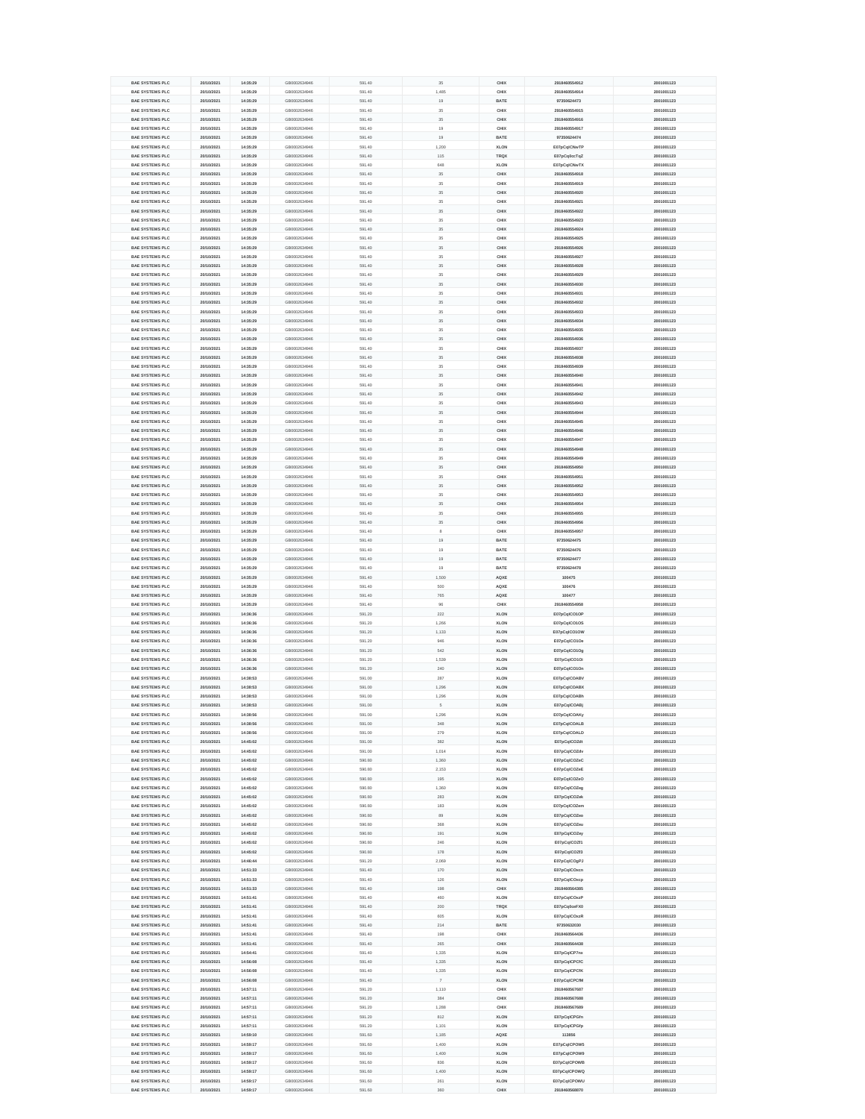| <b>BAE SYSTEMS PLC</b> | 20/10/2021 | 14:35:29 | GB0002634946 | 591.40 | 35             | <b>CHIX</b> | 2918460554912 | 2001001123 |
|------------------------|------------|----------|--------------|--------|----------------|-------------|---------------|------------|
|                        |            |          |              |        |                |             |               |            |
| <b>BAE SYSTEMS PLC</b> | 20/10/2021 | 14:35:29 | GB0002634946 | 591.40 | 1,485          | <b>CHIX</b> | 2918460554914 | 2001001123 |
| <b>BAE SYSTEMS PLC</b> | 20/10/2021 | 14:35:29 | GB0002634946 | 591.40 | 19             | <b>BATE</b> | 97350624473   | 2001001123 |
| <b>BAE SYSTEMS PLC</b> | 20/10/2021 | 14:35:29 | GB0002634946 | 591.40 | 35             | <b>CHIX</b> | 2918460554915 | 2001001123 |
| <b>BAE SYSTEMS PLC</b> | 20/10/2021 | 14:35:29 | GB0002634946 | 591.40 | 35             | <b>CHIX</b> | 2918460554916 | 2001001123 |
| <b>BAE SYSTEMS PLC</b> | 20/10/2021 | 14:35:29 | GB0002634946 | 591.40 | 19             | <b>CHIX</b> | 2918460554917 | 2001001123 |
| <b>BAE SYSTEMS PLC</b> | 20/10/2021 | 14:35:29 | GB0002634946 | 591.40 | 19             | <b>BATE</b> | 97350624474   | 2001001123 |
| <b>BAE SYSTEMS PLC</b> | 20/10/2021 | 14:35:29 | GB0002634946 | 591.40 | 1,200          | <b>XLON</b> | E07pCqICNwTP  | 2001001123 |
|                        |            |          |              |        |                |             |               |            |
| <b>BAE SYSTEMS PLC</b> | 20/10/2021 | 14:35:29 | GB0002634946 | 591.40 | 115            | <b>TRQX</b> | E07pCq0ccTqZ  | 2001001123 |
| <b>BAE SYSTEMS PLC</b> | 20/10/2021 | 14:35:29 | GB0002634946 | 591.40 | 648            | <b>XLON</b> | E07pCqICNwTX  | 2001001123 |
| <b>BAE SYSTEMS PLC</b> | 20/10/2021 | 14:35:29 | GB0002634946 | 591.40 | 35             | <b>CHIX</b> | 2918460554918 | 2001001123 |
| <b>BAE SYSTEMS PLC</b> | 20/10/2021 | 14:35:29 | GB0002634946 | 591.40 | 35             | <b>CHIX</b> | 2918460554919 | 2001001123 |
| <b>BAE SYSTEMS PLC</b> | 20/10/2021 | 14:35:29 | GB0002634946 | 591.40 | 35             | <b>CHIX</b> | 2918460554920 | 2001001123 |
| <b>BAE SYSTEMS PLC</b> | 20/10/2021 | 14:35:29 | GB0002634946 | 591.40 | 35             | <b>CHIX</b> | 2918460554921 | 2001001123 |
| <b>BAE SYSTEMS PLC</b> | 20/10/2021 | 14:35:29 | GB0002634946 | 591.40 | 35             | <b>CHIX</b> | 2918460554922 | 2001001123 |
|                        |            |          |              |        |                |             |               |            |
| <b>BAE SYSTEMS PLC</b> | 20/10/2021 | 14:35:29 | GB0002634946 | 591.40 | 35             | <b>CHIX</b> | 2918460554923 | 2001001123 |
| <b>BAE SYSTEMS PLC</b> | 20/10/2021 | 14:35:29 | GB0002634946 | 591.40 | 35             | <b>CHIX</b> | 2918460554924 | 2001001123 |
| <b>BAE SYSTEMS PLC</b> | 20/10/2021 | 14:35:29 | GB0002634946 | 591.40 | 35             | <b>CHIX</b> | 2918460554925 | 2001001123 |
| <b>BAE SYSTEMS PLC</b> | 20/10/2021 | 14:35:29 | GB0002634946 | 591.40 | 35             | <b>CHIX</b> | 2918460554926 | 2001001123 |
| <b>BAE SYSTEMS PLC</b> | 20/10/2021 | 14:35:29 | GB0002634946 | 591.40 | 35             | <b>CHIX</b> | 2918460554927 | 2001001123 |
| <b>BAE SYSTEMS PLC</b> | 20/10/2021 | 14:35:29 | GB0002634946 | 591.40 | 35             | <b>CHIX</b> | 2918460554928 | 2001001123 |
| <b>BAE SYSTEMS PLC</b> | 20/10/2021 | 14:35:29 | GB0002634946 | 591.40 | 35             | <b>CHIX</b> | 2918460554929 | 2001001123 |
|                        |            |          |              |        |                |             |               |            |
| <b>BAE SYSTEMS PLC</b> | 20/10/2021 | 14:35:29 | GB0002634946 | 591.40 | 35             | <b>CHIX</b> | 2918460554930 | 2001001123 |
| <b>BAE SYSTEMS PLC</b> | 20/10/2021 | 14:35:29 | GB0002634946 | 591.40 | 35             | <b>CHIX</b> | 2918460554931 | 2001001123 |
| <b>BAE SYSTEMS PLC</b> | 20/10/2021 | 14:35:29 | GB0002634946 | 591.40 | 35             | <b>CHIX</b> | 2918460554932 | 2001001123 |
| <b>BAE SYSTEMS PLC</b> | 20/10/2021 | 14:35:29 | GB0002634946 | 591.40 | 35             | <b>CHIX</b> | 2918460554933 | 2001001123 |
| <b>BAE SYSTEMS PLC</b> | 20/10/2021 | 14:35:29 | GB0002634946 | 591.40 | 35             | <b>CHIX</b> | 2918460554934 | 2001001123 |
| <b>BAE SYSTEMS PLC</b> | 20/10/2021 | 14:35:29 | GB0002634946 | 591.40 | 35             | <b>CHIX</b> | 2918460554935 | 2001001123 |
| <b>BAE SYSTEMS PLC</b> | 20/10/2021 | 14:35:29 | GB0002634946 | 591.40 | 35             | <b>CHIX</b> | 2918460554936 | 2001001123 |
|                        |            |          |              |        | 35             |             |               |            |
| <b>BAE SYSTEMS PLC</b> | 20/10/2021 | 14:35:29 | GB0002634946 | 591.40 |                | <b>CHIX</b> | 2918460554937 | 2001001123 |
| <b>BAE SYSTEMS PLC</b> | 20/10/2021 | 14:35:29 | GB0002634946 | 591.40 | 35             | <b>CHIX</b> | 2918460554938 | 2001001123 |
| <b>BAE SYSTEMS PLC</b> | 20/10/2021 | 14:35:29 | GB0002634946 | 591.40 | 35             | <b>CHIX</b> | 2918460554939 | 2001001123 |
| <b>BAE SYSTEMS PLC</b> | 20/10/2021 | 14:35:29 | GB0002634946 | 591.40 | 35             | <b>CHIX</b> | 2918460554940 | 2001001123 |
| <b>BAE SYSTEMS PLC</b> | 20/10/2021 | 14:35:29 | GB0002634946 | 591.40 | 35             | <b>CHIX</b> | 2918460554941 | 2001001123 |
| <b>BAE SYSTEMS PLC</b> | 20/10/2021 | 14:35:29 | GB0002634946 | 591.40 | 35             | <b>CHIX</b> | 2918460554942 | 2001001123 |
| <b>BAE SYSTEMS PLC</b> | 20/10/2021 | 14:35:29 | GB0002634946 | 591.40 | 35             | <b>CHIX</b> | 2918460554943 | 2001001123 |
| <b>BAE SYSTEMS PLC</b> | 20/10/2021 | 14:35:29 | GB0002634946 | 591.40 | 35             | <b>CHIX</b> |               | 2001001123 |
|                        |            |          |              |        |                |             | 2918460554944 |            |
| <b>BAE SYSTEMS PLC</b> | 20/10/2021 | 14:35:29 | GB0002634946 | 591.40 | 35             | <b>CHIX</b> | 2918460554945 | 2001001123 |
| <b>BAE SYSTEMS PLC</b> | 20/10/2021 | 14:35:29 | GB0002634946 | 591.40 | 35             | <b>CHIX</b> | 2918460554946 | 2001001123 |
| <b>BAE SYSTEMS PLC</b> | 20/10/2021 | 14:35:29 | GB0002634946 | 591.40 | 35             | <b>CHIX</b> | 2918460554947 | 2001001123 |
| <b>BAE SYSTEMS PLC</b> | 20/10/2021 | 14:35:29 | GB0002634946 | 591.40 | 35             | <b>CHIX</b> | 2918460554948 | 2001001123 |
| <b>BAE SYSTEMS PLC</b> | 20/10/2021 | 14:35:29 | GB0002634946 | 591.40 | 35             | <b>CHIX</b> | 2918460554949 | 2001001123 |
| <b>BAE SYSTEMS PLC</b> | 20/10/2021 | 14:35:29 | GB0002634946 | 591.40 | 35             | <b>CHIX</b> | 2918460554950 | 2001001123 |
|                        |            |          |              |        |                |             |               |            |
| <b>BAE SYSTEMS PLC</b> | 20/10/2021 | 14:35:29 | GB0002634946 | 591.40 | 35             | <b>CHIX</b> | 2918460554951 | 2001001123 |
| <b>BAE SYSTEMS PLC</b> | 20/10/2021 | 14:35:29 | GB0002634946 | 591.40 | 35             | <b>CHIX</b> | 2918460554952 | 2001001123 |
| <b>BAE SYSTEMS PLC</b> | 20/10/2021 | 14:35:29 | GB0002634946 | 591.40 | 35             | <b>CHIX</b> | 2918460554953 | 2001001123 |
| <b>BAE SYSTEMS PLC</b> | 20/10/2021 | 14:35:29 | GB0002634946 | 591.40 | 35             | <b>CHIX</b> | 2918460554954 | 2001001123 |
| <b>BAE SYSTEMS PLC</b> | 20/10/2021 | 14:35:29 | GB0002634946 | 591.40 | 35             | <b>CHIX</b> | 2918460554955 | 2001001123 |
| <b>BAE SYSTEMS PLC</b> | 20/10/2021 | 14:35:29 | GB0002634946 | 591.40 | 35             | <b>CHIX</b> | 2918460554956 | 2001001123 |
| <b>BAE SYSTEMS PLC</b> | 20/10/2021 | 14:35:29 | GB0002634946 | 591.40 | 8              | <b>CHIX</b> | 2918460554957 | 2001001123 |
|                        |            |          |              |        |                |             |               |            |
| <b>BAE SYSTEMS PLC</b> | 20/10/2021 | 14:35:29 | GB0002634946 | 591.40 | 19             | <b>BATE</b> | 97350624475   | 2001001123 |
| <b>BAE SYSTEMS PLC</b> | 20/10/2021 | 14:35:29 | GB0002634946 | 591.40 | 19             | <b>BATE</b> | 97350624476   | 2001001123 |
| <b>BAE SYSTEMS PLC</b> | 20/10/2021 | 14:35:29 | GB0002634946 | 591.40 | 19             | <b>BATE</b> | 97350624477   | 2001001123 |
| <b>BAE SYSTEMS PLC</b> | 20/10/2021 | 14:35:29 | GB0002634946 |        | 19             | <b>BATE</b> | 97350624478   |            |
|                        |            |          |              | 591.40 |                |             |               | 2001001123 |
| <b>BAE SYSTEMS PLC</b> | 20/10/2021 | 14:35:29 | GB0002634946 | 591.40 | 1,500          | <b>AQXE</b> | 100475        | 2001001123 |
| <b>BAE SYSTEMS PLC</b> | 20/10/2021 | 14:35:29 | GB0002634946 | 591.40 | 500            | <b>AQXE</b> | 100476        | 2001001123 |
|                        |            |          |              |        |                |             |               |            |
| <b>BAE SYSTEMS PLC</b> | 20/10/2021 | 14:35:29 | GB0002634946 | 591.40 | 765            | <b>AQXE</b> | 100477        | 2001001123 |
| <b>BAE SYSTEMS PLC</b> | 20/10/2021 | 14:35:29 | GB0002634946 | 591.40 | 96             | <b>CHIX</b> | 2918460554958 | 2001001123 |
| <b>BAE SYSTEMS PLC</b> | 20/10/2021 | 14:36:36 | GB0002634946 | 591.20 | 222            | <b>XLON</b> | E07pCqICO1OP  | 2001001123 |
| <b>BAE SYSTEMS PLC</b> | 20/10/2021 | 14:36:36 | GB0002634946 | 591.20 | 1,266          | <b>XLON</b> | E07pCqICO1OS  | 2001001123 |
| <b>BAE SYSTEMS PLC</b> | 20/10/2021 | 14:36:36 | GB0002634946 | 591.20 | 1,133          | <b>XLON</b> | E07pCqICO1OW  | 2001001123 |
| <b>BAE SYSTEMS PLC</b> | 20/10/2021 | 14:36:36 | GB0002634946 | 591.20 | 946            | <b>XLON</b> | E07pCqICO1Oe  | 2001001123 |
| <b>BAE SYSTEMS PLC</b> | 20/10/2021 | 14:36:36 | GB0002634946 | 591.20 | 542            | <b>XLON</b> | E07pCqICO1Og  | 2001001123 |
| <b>BAE SYSTEMS PLC</b> | 20/10/2021 | 14:36:36 | GB0002634946 | 591.20 | 1,539          | <b>XLON</b> | E07pCqICO1Oi  | 2001001123 |
| <b>BAE SYSTEMS PLC</b> | 20/10/2021 | 14:36:36 | GB0002634946 | 591.20 | 240            | <b>XLON</b> | E07pCqICO1On  | 2001001123 |
|                        |            |          |              |        |                |             |               |            |
| <b>BAE SYSTEMS PLC</b> | 20/10/2021 | 14:38:53 | GB0002634946 | 591.00 | 287            | <b>XLON</b> | E07pCqICOABV  | 2001001123 |
| <b>BAE SYSTEMS PLC</b> | 20/10/2021 | 14:38:53 | GB0002634946 | 591.00 | 1,296          | <b>XLON</b> | E07pCqICOABX  | 2001001123 |
| <b>BAE SYSTEMS PLC</b> | 20/10/2021 | 14:38:53 | GB0002634946 | 591.00 | 1,296          | <b>XLON</b> | E07pCqICOABh  | 2001001123 |
| <b>BAE SYSTEMS PLC</b> | 20/10/2021 | 14:38:53 | GB0002634946 | 591.00 | 5 <sup>5</sup> | <b>XLON</b> | E07pCqICOABj  | 2001001123 |
| <b>BAE SYSTEMS PLC</b> | 20/10/2021 | 14:38:56 | GB0002634946 | 591.00 | 1,296          | <b>XLON</b> | E07pCqICOAKy  | 2001001123 |
| <b>BAE SYSTEMS PLC</b> | 20/10/2021 | 14:38:56 | GB0002634946 | 591.00 | 348            | <b>XLON</b> | E07pCqICOALB  | 2001001123 |
| <b>BAE SYSTEMS PLC</b> | 20/10/2021 | 14:38:56 | GB0002634946 | 591.00 | 279            | <b>XLON</b> | E07pCqICOALD  | 2001001123 |
| <b>BAE SYSTEMS PLC</b> | 20/10/2021 | 14:45:02 | GB0002634946 | 591.00 | 382            | <b>XLON</b> | E07pCqICOZdt  | 2001001123 |
| <b>BAE SYSTEMS PLC</b> | 20/10/2021 | 14:45:02 | GB0002634946 | 591.00 |                | <b>XLON</b> |               | 2001001123 |
|                        |            |          |              |        | 1,014          |             | E07pCqICOZdv  |            |
| <b>BAE SYSTEMS PLC</b> | 20/10/2021 | 14:45:02 | GB0002634946 | 590.80 | 1,360          | <b>XLON</b> | E07pCqICOZeC  | 2001001123 |
| <b>BAE SYSTEMS PLC</b> | 20/10/2021 | 14:45:02 | GB0002634946 | 590.80 | 2,153          | <b>XLON</b> | E07pCqICOZeE  | 2001001123 |
| <b>BAE SYSTEMS PLC</b> | 20/10/2021 | 14:45:02 | GB0002634946 | 590.80 | 195            | <b>XLON</b> | E07pCqICOZeO  | 2001001123 |
| <b>BAE SYSTEMS PLC</b> | 20/10/2021 | 14:45:02 | GB0002634946 | 590.80 | 1,360          | <b>XLON</b> | E07pCqICOZeg  | 2001001123 |
| <b>BAE SYSTEMS PLC</b> | 20/10/2021 | 14:45:02 | GB0002634946 | 590.80 | 283            | <b>XLON</b> | E07pCqICOZek  | 2001001123 |
| <b>BAE SYSTEMS PLC</b> | 20/10/2021 | 14:45:02 | GB0002634946 | 590.80 | 183            | <b>XLON</b> | E07pCqICOZem  | 2001001123 |
| <b>BAE SYSTEMS PLC</b> | 20/10/2021 | 14:45:02 | GB0002634946 | 590.80 | 89             | <b>XLON</b> | E07pCqICOZeo  | 2001001123 |
| <b>BAE SYSTEMS PLC</b> | 20/10/2021 | 14:45:02 | GB0002634946 | 590.80 | 368            | <b>XLON</b> | E07pCqICOZeu  | 2001001123 |
|                        |            |          |              |        |                |             |               |            |
| <b>BAE SYSTEMS PLC</b> | 20/10/2021 | 14:45:02 | GB0002634946 | 590.80 | 191            | <b>XLON</b> | E07pCqICOZey  | 2001001123 |
| <b>BAE SYSTEMS PLC</b> | 20/10/2021 | 14:45:02 | GB0002634946 | 590.80 | 246            | <b>XLON</b> | E07pCqICOZf1  | 2001001123 |
| <b>BAE SYSTEMS PLC</b> | 20/10/2021 | 14:45:02 | GB0002634946 | 590.80 | 178            | <b>XLON</b> | E07pCqICOZf3  | 2001001123 |
| <b>BAE SYSTEMS PLC</b> | 20/10/2021 | 14:46:44 | GB0002634946 | 591.20 | 2,069          | <b>XLON</b> | E07pCqICOgPJ  | 2001001123 |
| <b>BAE SYSTEMS PLC</b> | 20/10/2021 | 14:51:33 | GB0002634946 | 591.40 | 170            | <b>XLON</b> | E07pCqICOxcn  | 2001001123 |
| <b>BAE SYSTEMS PLC</b> | 20/10/2021 | 14:51:33 | GB0002634946 | 591.40 | 126            | <b>XLON</b> | E07pCqICOxcp  | 2001001123 |
| <b>BAE SYSTEMS PLC</b> | 20/10/2021 | 14:51:33 | GB0002634946 | 591.40 | 198            | <b>CHIX</b> | 2918460564385 | 2001001123 |
| <b>BAE SYSTEMS PLC</b> | 20/10/2021 | 14:51:41 | GB0002634946 | 591.40 | 460            | <b>XLON</b> | E07pCqICOxzP  | 2001001123 |
| <b>BAE SYSTEMS PLC</b> | 20/10/2021 |          | GB0002634946 | 591.40 |                |             |               | 2001001123 |
|                        |            | 14:51:41 |              |        | 200            | <b>TRQX</b> | E07pCq0ceFX0  |            |
| <b>BAE SYSTEMS PLC</b> | 20/10/2021 | 14:51:41 | GB0002634946 | 591.40 | 605            | <b>XLON</b> | E07pCqICOxzR  | 2001001123 |
| <b>BAE SYSTEMS PLC</b> | 20/10/2021 | 14:51:41 | GB0002634946 | 591.40 | 214            | <b>BATE</b> | 97350632030   | 2001001123 |
| <b>BAE SYSTEMS PLC</b> | 20/10/2021 | 14:51:41 | GB0002634946 | 591.40 | 198            | <b>CHIX</b> | 2918460564436 | 2001001123 |
| <b>BAE SYSTEMS PLC</b> | 20/10/2021 | 14:51:41 | GB0002634946 | 591.40 | 265            | <b>CHIX</b> | 2918460564438 | 2001001123 |
| <b>BAE SYSTEMS PLC</b> | 20/10/2021 | 14:54:41 | GB0002634946 | 591.40 | 1,335          | <b>XLON</b> | E07pCqICP7nx  | 2001001123 |
| <b>BAE SYSTEMS PLC</b> | 20/10/2021 | 14:56:08 | GB0002634946 | 591.40 | 1,335          | <b>XLON</b> | E07pCqICPCfC  | 2001001123 |
| <b>BAE SYSTEMS PLC</b> | 20/10/2021 |          | GB0002634946 |        |                |             |               | 2001001123 |
|                        |            | 14:56:08 |              | 591.40 | 1,335          | <b>XLON</b> | E07pCqICPCfK  |            |
| <b>BAE SYSTEMS PLC</b> | 20/10/2021 | 14:56:08 | GB0002634946 | 591.40 | $7^{\circ}$    | <b>XLON</b> | E07pCqICPCfM  | 2001001123 |
| <b>BAE SYSTEMS PLC</b> | 20/10/2021 | 14:57:11 | GB0002634946 | 591.20 | 1,110          | <b>CHIX</b> | 2918460567687 | 2001001123 |
| <b>BAE SYSTEMS PLC</b> | 20/10/2021 | 14:57:11 | GB0002634946 | 591.20 | 384            | <b>CHIX</b> | 2918460567688 | 2001001123 |
| <b>BAE SYSTEMS PLC</b> | 20/10/2021 | 14:57:11 | GB0002634946 | 591.20 | 1,288          | <b>CHIX</b> | 2918460567689 | 2001001123 |
| <b>BAE SYSTEMS PLC</b> | 20/10/2021 | 14:57:11 | GB0002634946 | 591.20 | 812            | <b>XLON</b> | E07pCqICPGfn  | 2001001123 |
| <b>BAE SYSTEMS PLC</b> | 20/10/2021 | 14:57:11 | GB0002634946 | 591.20 | 1,101          | <b>XLON</b> | E07pCqICPGfp  | 2001001123 |
| <b>BAE SYSTEMS PLC</b> | 20/10/2021 | 14:59:10 | GB0002634946 | 591.60 | 1,185          | <b>AQXE</b> | 113856        | 2001001123 |
|                        |            |          |              |        |                |             |               |            |
| <b>BAE SYSTEMS PLC</b> | 20/10/2021 | 14:59:17 | GB0002634946 | 591.60 | 1,400          | <b>XLON</b> | E07pCqICPOW5  | 2001001123 |
| <b>BAE SYSTEMS PLC</b> | 20/10/2021 | 14:59:17 | GB0002634946 | 591.60 | 1,400          | <b>XLON</b> | E07pCqICPOW9  | 2001001123 |
| <b>BAE SYSTEMS PLC</b> | 20/10/2021 | 14:59:17 | GB0002634946 | 591.60 | 836            | <b>XLON</b> | E07pCqICPOWB  | 2001001123 |
| <b>BAE SYSTEMS PLC</b> | 20/10/2021 | 14:59:17 | GB0002634946 | 591.60 | 1,400          | <b>XLON</b> | E07pCqICPOWQ  | 2001001123 |
| <b>BAE SYSTEMS PLC</b> | 20/10/2021 | 14:59:17 | GB0002634946 | 591.60 | 261            | <b>XLON</b> | E07pCqICPOWU  | 2001001123 |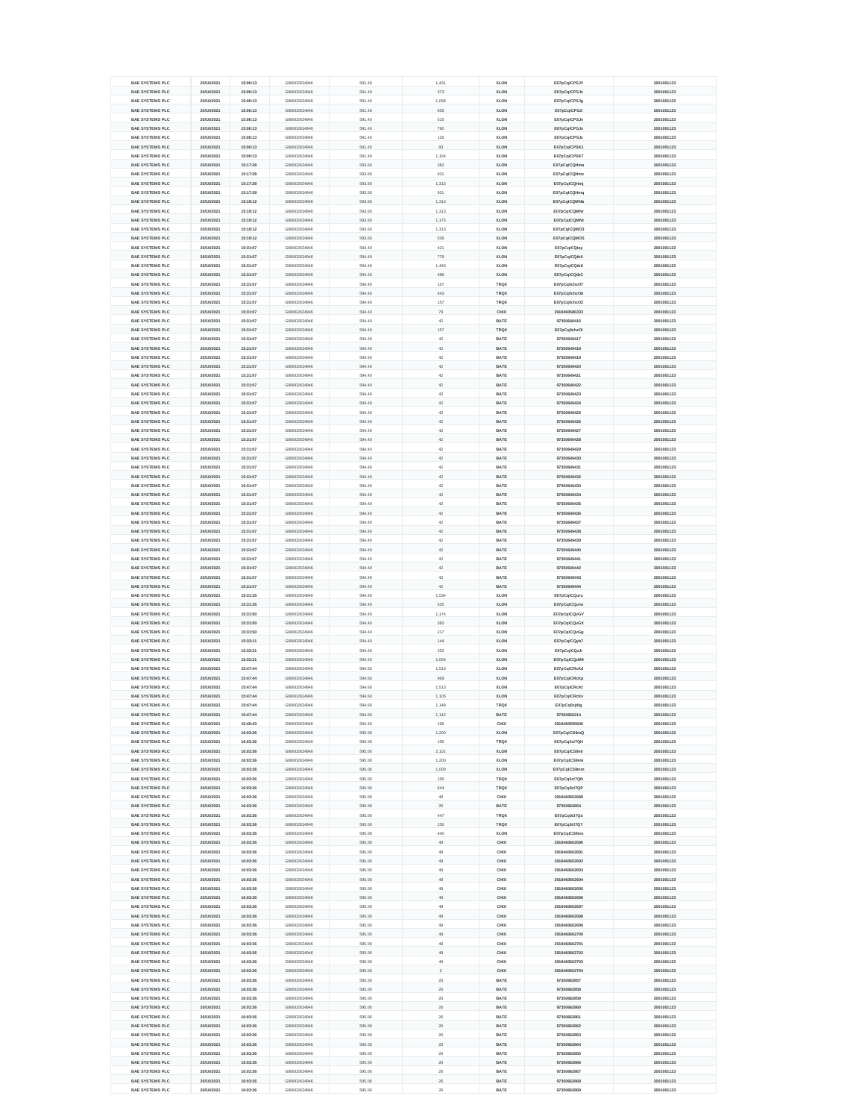| <b>BAE SYSTEMS PLC</b> | 20/10/2021 | 15:00:13 | GB0002634946 | 591.40 | 1,431       | <b>XLON</b> | E07pCqICPSJY  | 2001001123 |
|------------------------|------------|----------|--------------|--------|-------------|-------------|---------------|------------|
| <b>BAE SYSTEMS PLC</b> | 20/10/2021 | 15:00:13 | GB0002634946 | 591.40 | 373         | <b>XLON</b> | E07pCqICPSJc  | 2001001123 |
| <b>BAE SYSTEMS PLC</b> | 20/10/2021 | 15:00:13 | GB0002634946 | 591.40 | 1,058       | <b>XLON</b> | E07pCqICPSJg  | 2001001123 |
| <b>BAE SYSTEMS PLC</b> | 20/10/2021 | 15:00:13 | GB0002634946 | 591.40 | 658         | <b>XLON</b> | E07pCqICPSJi  | 2001001123 |
| <b>BAE SYSTEMS PLC</b> | 20/10/2021 | 15:00:13 | GB0002634946 | 591.40 | 515         | <b>XLON</b> | E07pCqICPSJv  | 2001001123 |
| <b>BAE SYSTEMS PLC</b> | 20/10/2021 | 15:00:13 | GB0002634946 | 591.40 | 790         | <b>XLON</b> | E07pCqICPSJx  | 2001001123 |
| <b>BAE SYSTEMS PLC</b> | 20/10/2021 | 15:00:13 | GB0002634946 | 591.40 | 126         | <b>XLON</b> | E07pCqICPSJz  | 2001001123 |
| <b>BAE SYSTEMS PLC</b> | 20/10/2021 | 15:00:13 | GB0002634946 | 591.40 | 83          | <b>XLON</b> | E07pCqICPSK1  | 2001001123 |
| <b>BAE SYSTEMS PLC</b> | 20/10/2021 | 15:00:13 | GB0002634946 | 591.40 | 1,154       | <b>XLON</b> | E07pCqICPSK7  | 2001001123 |
| <b>BAE SYSTEMS PLC</b> | 20/10/2021 | 15:17:28 | GB0002634946 | 593.60 | 382         | <b>XLON</b> | E07pCqICQHma  | 2001001123 |
| <b>BAE SYSTEMS PLC</b> |            |          |              | 593.60 | 931         |             |               |            |
|                        | 20/10/2021 | 15:17:28 | GB0002634946 |        |             | <b>XLON</b> | E07pCqICQHmc  | 2001001123 |
| <b>BAE SYSTEMS PLC</b> | 20/10/2021 | 15:17:28 | GB0002634946 | 593.60 | 1,313       | <b>XLON</b> | E07pCqICQHmj  | 2001001123 |
| <b>BAE SYSTEMS PLC</b> | 20/10/2021 | 15:17:28 | GB0002634946 | 593.60 | 931         | <b>XLON</b> | E07pCqICQHmq  | 2001001123 |
| <b>BAE SYSTEMS PLC</b> | 20/10/2021 | 15:19:12 | GB0002634946 | 593.60 | 1,313       | <b>XLON</b> | E07pCqICQMNb  | 2001001123 |
| <b>BAE SYSTEMS PLC</b> | 20/10/2021 | 15:19:12 | GB0002634946 | 593.60 | 1,313       | <b>XLON</b> | E07pCqICQMNr  | 2001001123 |
| <b>BAE SYSTEMS PLC</b> | 20/10/2021 | 15:19:12 | GB0002634946 | 593.60 | 1,175       | <b>XLON</b> | E07pCqICQMNt  | 2001001123 |
| <b>BAE SYSTEMS PLC</b> | 20/10/2021 | 15:19:12 | GB0002634946 | 593.60 | 1,313       | <b>XLON</b> | E07pCqICQMO3  | 2001001123 |
| <b>BAE SYSTEMS PLC</b> | 20/10/2021 | 15:19:12 | GB0002634946 | 593.60 | 536         | <b>XLON</b> | E07pCqICQMO5  | 2001001123 |
| <b>BAE SYSTEMS PLC</b> | 20/10/2021 | 15:31:07 | GB0002634946 | 594.40 | 421         | <b>XLON</b> | E07pCqICQtay  | 2001001123 |
| <b>BAE SYSTEMS PLC</b> | 20/10/2021 | 15:31:07 | GB0002634946 | 594.40 | 779         | <b>XLON</b> | E07pCqICQtb0  | 2001001123 |
| <b>BAE SYSTEMS PLC</b> | 20/10/2021 | 15:31:07 | GB0002634946 | 594.40 | 1,440       | <b>XLON</b> | E07pCqICQtb8  | 2001001123 |
| <b>BAE SYSTEMS PLC</b> | 20/10/2021 | 15:31:07 | GB0002634946 | 594.40 | 486         | <b>XLON</b> | E07pCqICQtbC  | 2001001123 |
| <b>BAE SYSTEMS PLC</b> | 20/10/2021 | 15:31:07 | GB0002634946 | 594.40 | 157         | <b>TRQX</b> | E07pCq0chzOT  | 2001001123 |
| <b>BAE SYSTEMS PLC</b> | 20/10/2021 | 15:31:07 | GB0002634946 | 594.40 | 443         | <b>TRQX</b> | E07pCq0chzOb  | 2001001123 |
| <b>BAE SYSTEMS PLC</b> | 20/10/2021 | 15:31:07 | GB0002634946 | 594.40 | 157         | <b>TRQX</b> | E07pCq0chzOZ  | 2001001123 |
| <b>BAE SYSTEMS PLC</b> | 20/10/2021 | 15:31:07 | GB0002634946 | 594.40 | 79          | <b>CHIX</b> | 2918460586333 | 2001001123 |
| <b>BAE SYSTEMS PLC</b> | 20/10/2021 | 15:31:07 | GB0002634946 | 594.40 | 42          | <b>BATE</b> | 97350649416   | 2001001123 |
|                        |            |          |              |        |             |             |               |            |
| <b>BAE SYSTEMS PLC</b> | 20/10/2021 | 15:31:07 | GB0002634946 | 594.40 | 157         | <b>TRQX</b> | E07pCq0chzOi  | 2001001123 |
| <b>BAE SYSTEMS PLC</b> | 20/10/2021 | 15:31:07 | GB0002634946 | 594.40 | 42          | <b>BATE</b> | 97350649417   | 2001001123 |
| <b>BAE SYSTEMS PLC</b> | 20/10/2021 | 15:31:07 | GB0002634946 | 594.40 | 42          | <b>BATE</b> | 97350649418   | 2001001123 |
| <b>BAE SYSTEMS PLC</b> | 20/10/2021 | 15:31:07 | GB0002634946 | 594.40 | 42          | <b>BATE</b> | 97350649419   | 2001001123 |
| <b>BAE SYSTEMS PLC</b> | 20/10/2021 | 15:31:07 | GB0002634946 | 594.40 | 42          | <b>BATE</b> | 97350649420   | 2001001123 |
| <b>BAE SYSTEMS PLC</b> | 20/10/2021 | 15:31:07 | GB0002634946 | 594.40 | 42          | <b>BATE</b> | 97350649421   | 2001001123 |
| <b>BAE SYSTEMS PLC</b> | 20/10/2021 | 15:31:07 | GB0002634946 | 594.40 | 42          | <b>BATE</b> | 97350649422   | 2001001123 |
| <b>BAE SYSTEMS PLC</b> | 20/10/2021 | 15:31:07 | GB0002634946 | 594.40 | 42          | <b>BATE</b> | 97350649423   | 2001001123 |
| <b>BAE SYSTEMS PLC</b> | 20/10/2021 | 15:31:07 | GB0002634946 | 594.40 | 42          | <b>BATE</b> | 97350649424   | 2001001123 |
| <b>BAE SYSTEMS PLC</b> | 20/10/2021 | 15:31:07 | GB0002634946 | 594.40 | 42          | <b>BATE</b> | 97350649425   | 2001001123 |
| <b>BAE SYSTEMS PLC</b> | 20/10/2021 | 15:31:07 | GB0002634946 | 594.40 | 42          | <b>BATE</b> | 97350649426   | 2001001123 |
| <b>BAE SYSTEMS PLC</b> | 20/10/2021 | 15:31:07 | GB0002634946 | 594.40 | 42          | <b>BATE</b> | 97350649427   | 2001001123 |
|                        |            |          |              |        |             | <b>BATE</b> |               |            |
| <b>BAE SYSTEMS PLC</b> | 20/10/2021 | 15:31:07 | GB0002634946 | 594.40 | 42          |             | 97350649428   | 2001001123 |
| <b>BAE SYSTEMS PLC</b> | 20/10/2021 | 15:31:07 | GB0002634946 | 594.40 | 42          | <b>BATE</b> | 97350649429   | 2001001123 |
| <b>BAE SYSTEMS PLC</b> | 20/10/2021 | 15:31:07 | GB0002634946 | 594.40 | 42          | <b>BATE</b> | 97350649430   | 2001001123 |
| <b>BAE SYSTEMS PLC</b> | 20/10/2021 | 15:31:07 | GB0002634946 | 594.40 | 42          | <b>BATE</b> | 97350649431   | 2001001123 |
| <b>BAE SYSTEMS PLC</b> | 20/10/2021 | 15:31:07 | GB0002634946 | 594.40 | 42          | <b>BATE</b> | 97350649432   | 2001001123 |
| <b>BAE SYSTEMS PLC</b> | 20/10/2021 | 15:31:07 | GB0002634946 | 594.40 | 42          | <b>BATE</b> | 97350649433   | 2001001123 |
| <b>BAE SYSTEMS PLC</b> | 20/10/2021 | 15:31:07 | GB0002634946 | 594.40 | 42          | <b>BATE</b> | 97350649434   | 2001001123 |
| <b>BAE SYSTEMS PLC</b> | 20/10/2021 | 15:31:07 | GB0002634946 | 594.40 | 42          | <b>BATE</b> | 97350649435   | 2001001123 |
| <b>BAE SYSTEMS PLC</b> | 20/10/2021 | 15:31:07 | GB0002634946 | 594.40 | 42          | <b>BATE</b> | 97350649436   | 2001001123 |
| <b>BAE SYSTEMS PLC</b> | 20/10/2021 | 15:31:07 | GB0002634946 | 594.40 | 42          | <b>BATE</b> | 97350649437   | 2001001123 |
| <b>BAE SYSTEMS PLC</b> | 20/10/2021 | 15:31:07 | GB0002634946 | 594.40 | 42          | <b>BATE</b> | 97350649438   | 2001001123 |
| <b>BAE SYSTEMS PLC</b> |            |          |              | 594.40 | 42          | <b>BATE</b> | 97350649439   |            |
|                        | 20/10/2021 | 15:31:07 | GB0002634946 |        |             |             |               | 2001001123 |
| <b>BAE SYSTEMS PLC</b> | 20/10/2021 | 15:31:07 | GB0002634946 | 594.40 | 42          | <b>BATE</b> | 97350649440   | 2001001123 |
| <b>BAE SYSTEMS PLC</b> | 20/10/2021 | 15:31:07 | GB0002634946 | 594.40 | 42          | <b>BATE</b> | 97350649441   | 2001001123 |
| <b>BAE SYSTEMS PLC</b> | 20/10/2021 | 15:31:07 | GB0002634946 | 594.40 | 42          | <b>BATE</b> | 97350649442   | 2001001123 |
| <b>BAE SYSTEMS PLC</b> | 20/10/2021 | 15:31:07 | GB0002634946 | 594.40 | 42          | <b>BATE</b> | 97350649443   | 2001001123 |
| <b>BAE SYSTEMS PLC</b> | 20/10/2021 | 15:31:07 | GB0002634946 | 594.40 |             |             |               | 2001001123 |
|                        |            |          |              |        | 42          | <b>BATE</b> | 97350649444   |            |
| <b>BAE SYSTEMS PLC</b> | 20/10/2021 | 15:31:35 | GB0002634946 | 594.40 | 1,534       | <b>XLON</b> | E07pCqICQuru  | 2001001123 |
| <b>BAE SYSTEMS PLC</b> | 20/10/2021 | 15:31:35 | GB0002634946 | 594.40 | 535         | <b>XLON</b> | E07pCqICQurw  | 2001001123 |
| <b>BAE SYSTEMS PLC</b> | 20/10/2021 | 15:31:50 | GB0002634946 | 594.40 | 1,174       | <b>XLON</b> | E07pCqICQvGV  | 2001001123 |
| <b>BAE SYSTEMS PLC</b> | 20/10/2021 | 15:31:50 | GB0002634946 | 594.40 | 360         | <b>XLON</b> | E07pCqICQvGX  | 2001001123 |
| <b>BAE SYSTEMS PLC</b> | 20/10/2021 | 15:31:50 | GB0002634946 | 594.40 | 217         | <b>XLON</b> | E07pCqICQvGg  | 2001001123 |
| <b>BAE SYSTEMS PLC</b> | 20/10/2021 | 15:33:11 | GB0002634946 | 594.40 | 144         | <b>XLON</b> | E07pCqICQyb7  | 2001001123 |
| <b>BAE SYSTEMS PLC</b> | 20/10/2021 | 15:33:31 | GB0002634946 | 594.40 | 252         | <b>XLON</b> | E07pCqICQzJr  | 2001001123 |
|                        |            |          |              |        |             |             |               |            |
| <b>BAE SYSTEMS PLC</b> | 20/10/2021 | 15:33:31 | GB0002634946 | 594.40 | 1,004       | <b>XLON</b> | E07pCqICQzM9  | 2001001123 |
| <b>BAE SYSTEMS PLC</b> | 20/10/2021 | 15:47:44 | GB0002634946 | 594.60 | 1,513       | <b>XLON</b> | E07pCqICRcKd  | 2001001123 |
| <b>BAE SYSTEMS PLC</b> | 20/10/2021 | 15:47:44 | GB0002634946 | 594.60 | 969         | <b>XLON</b> | E07pCqICRcKp  | 2001001123 |
| <b>BAE SYSTEMS PLC</b> | 20/10/2021 | 15:47:44 | GB0002634946 | 594.60 | 1,513       | <b>XLON</b> | E07pCqICRcKt  | 2001001123 |
| <b>BAE SYSTEMS PLC</b> | 20/10/2021 | 15:47:44 | GB0002634946 | 594.60 | 1,105       | <b>XLON</b> | E07pCqICRcKv  | 2001001123 |
| <b>BAE SYSTEMS PLC</b> | 20/10/2021 | 15:47:44 | GB0002634946 | 594.60 | 1,148       | <b>TRQX</b> | E07pCq0cjdlg  | 2001001123 |
| <b>BAE SYSTEMS PLC</b> | 20/10/2021 | 15:47:44 | GB0002634946 | 594.60 | 1,142       | <b>BATE</b> | 97350656214   | 2001001123 |
| <b>BAE SYSTEMS PLC</b> | 20/10/2021 | 15:49:43 | GB0002634946 | 594.40 | 196         | <b>CHIX</b> | 2918460595846 | 2001001123 |
| <b>BAE SYSTEMS PLC</b> | 20/10/2021 | 16:03:36 | GB0002634946 | 595.00 | 1,200       | <b>XLON</b> | E07pCqICS9mQ  | 2001001123 |
| <b>BAE SYSTEMS PLC</b> | 20/10/2021 | 16:03:36 | GB0002634946 | 595.00 | 156         | <b>TRQX</b> | E07pCq0cl7QH  | 2001001123 |
| <b>BAE SYSTEMS PLC</b> | 20/10/2021 | 16:03:36 | GB0002634946 | 595.00 | 2,101       | <b>XLON</b> | E07pCqICS9mi  | 2001001123 |
| <b>BAE SYSTEMS PLC</b> | 20/10/2021 | 16:03:36 | GB0002634946 | 595.00 | 1,200       | <b>XLON</b> | E07pCqICS9mk  | 2001001123 |
| <b>BAE SYSTEMS PLC</b> | 20/10/2021 | 16:03:36 | GB0002634946 | 595.00 | 1,000       | <b>XLON</b> | E07pCqICS9mm  | 2001001123 |
| <b>BAE SYSTEMS PLC</b> | 20/10/2021 | 16:03:36 | GB0002634946 | 595.00 | 156         | <b>TRQX</b> | E07pCq0cl7QN  | 2001001123 |
| <b>BAE SYSTEMS PLC</b> | 20/10/2021 | 16:03:36 | GB0002634946 | 595.00 | 644         | <b>TRQX</b> | E07pCq0cl7QP  | 2001001123 |
| <b>BAE SYSTEMS PLC</b> | 20/10/2021 | 16:03:36 | GB0002634946 | 595.00 | 49          | <b>CHIX</b> | 2918460602689 | 2001001123 |
| <b>BAE SYSTEMS PLC</b> | 20/10/2021 | 16:03:36 | GB0002634946 | 595.00 | 26          | <b>BATE</b> | 97350662854   | 2001001123 |
| <b>BAE SYSTEMS PLC</b> | 20/10/2021 | 16:03:36 | GB0002634946 | 595.00 | 447         | <b>TRQX</b> | E07pCq0cl7Qa  | 2001001123 |
| <b>BAE SYSTEMS PLC</b> | 20/10/2021 | 16:03:36 | GB0002634946 | 595.00 | 156         | <b>TRQX</b> | E07pCq0cl7QY  | 2001001123 |
| <b>BAE SYSTEMS PLC</b> | 20/10/2021 | 16:03:36 | GB0002634946 | 595.00 | 440         | <b>XLON</b> | E07pCqICS9mx  | 2001001123 |
|                        |            |          |              |        |             |             |               |            |
| <b>BAE SYSTEMS PLC</b> | 20/10/2021 | 16:03:36 | GB0002634946 | 595.00 | 49          | <b>CHIX</b> | 2918460602690 | 2001001123 |
| <b>BAE SYSTEMS PLC</b> | 20/10/2021 | 16:03:36 | GB0002634946 | 595.00 | 49          | <b>CHIX</b> | 2918460602691 | 2001001123 |
| <b>BAE SYSTEMS PLC</b> | 20/10/2021 | 16:03:36 | GB0002634946 | 595.00 | 49          | <b>CHIX</b> | 2918460602692 | 2001001123 |
| <b>BAE SYSTEMS PLC</b> | 20/10/2021 | 16:03:36 | GB0002634946 | 595.00 | 49          | <b>CHIX</b> | 2918460602693 | 2001001123 |
| <b>BAE SYSTEMS PLC</b> | 20/10/2021 | 16:03:36 | GB0002634946 | 595.00 | 49          | <b>CHIX</b> | 2918460602694 | 2001001123 |
| <b>BAE SYSTEMS PLC</b> | 20/10/2021 | 16:03:36 | GB0002634946 | 595.00 | 49          | <b>CHIX</b> | 2918460602695 | 2001001123 |
| <b>BAE SYSTEMS PLC</b> | 20/10/2021 | 16:03:36 | GB0002634946 | 595.00 | 49          | <b>CHIX</b> | 2918460602696 | 2001001123 |
| <b>BAE SYSTEMS PLC</b> | 20/10/2021 | 16:03:36 | GB0002634946 | 595.00 | 49          | <b>CHIX</b> | 2918460602697 | 2001001123 |
| <b>BAE SYSTEMS PLC</b> | 20/10/2021 | 16:03:36 | GB0002634946 | 595.00 | 49          | <b>CHIX</b> | 2918460602698 | 2001001123 |
| <b>BAE SYSTEMS PLC</b> | 20/10/2021 | 16:03:36 | GB0002634946 | 595.00 | 49          | <b>CHIX</b> | 2918460602699 | 2001001123 |
| <b>BAE SYSTEMS PLC</b> | 20/10/2021 | 16:03:36 | GB0002634946 | 595.00 | 49          | <b>CHIX</b> | 2918460602700 | 2001001123 |
| <b>BAE SYSTEMS PLC</b> | 20/10/2021 | 16:03:36 | GB0002634946 | 595.00 | 49          | <b>CHIX</b> | 2918460602701 | 2001001123 |
| <b>BAE SYSTEMS PLC</b> | 20/10/2021 | 16:03:36 | GB0002634946 | 595.00 | 49          | <b>CHIX</b> | 2918460602702 | 2001001123 |
| <b>BAE SYSTEMS PLC</b> | 20/10/2021 | 16:03:36 | GB0002634946 | 595.00 | 49          | <b>CHIX</b> | 2918460602703 | 2001001123 |
|                        |            |          |              |        |             |             |               |            |
| <b>BAE SYSTEMS PLC</b> | 20/10/2021 | 16:03:36 | GB0002634946 | 595.00 | $2^{\circ}$ | <b>CHIX</b> | 2918460602704 | 2001001123 |
| <b>BAE SYSTEMS PLC</b> | 20/10/2021 | 16:03:36 | GB0002634946 | 595.00 | 26          | <b>BATE</b> | 97350662857   | 2001001123 |
| <b>BAE SYSTEMS PLC</b> | 20/10/2021 | 16:03:36 | GB0002634946 | 595.00 | 26          | <b>BATE</b> | 97350662858   | 2001001123 |
| <b>BAE SYSTEMS PLC</b> | 20/10/2021 | 16:03:36 | GB0002634946 | 595.00 | 26          | <b>BATE</b> | 97350662859   | 2001001123 |
| <b>BAE SYSTEMS PLC</b> | 20/10/2021 | 16:03:36 | GB0002634946 | 595.00 | 26          | <b>BATE</b> | 97350662860   | 2001001123 |
| <b>BAE SYSTEMS PLC</b> | 20/10/2021 | 16:03:36 | GB0002634946 | 595.00 | 26          | <b>BATE</b> | 97350662861   | 2001001123 |
| <b>BAE SYSTEMS PLC</b> | 20/10/2021 | 16:03:36 | GB0002634946 | 595.00 | 26          | <b>BATE</b> | 97350662862   | 2001001123 |
| <b>BAE SYSTEMS PLC</b> | 20/10/2021 | 16:03:36 | GB0002634946 | 595.00 | 26          | <b>BATE</b> | 97350662863   | 2001001123 |
| <b>BAE SYSTEMS PLC</b> | 20/10/2021 | 16:03:36 | GB0002634946 | 595.00 | 26          | <b>BATE</b> | 97350662864   | 2001001123 |
| <b>BAE SYSTEMS PLC</b> | 20/10/2021 | 16:03:36 | GB0002634946 | 595.00 | 26          | <b>BATE</b> | 97350662865   | 2001001123 |
| <b>BAE SYSTEMS PLC</b> | 20/10/2021 | 16:03:36 | GB0002634946 | 595.00 | 26          | <b>BATE</b> | 97350662866   | 2001001123 |
| <b>BAE SYSTEMS PLC</b> | 20/10/2021 | 16:03:36 | GB0002634946 | 595.00 | 26          | <b>BATE</b> | 97350662867   | 2001001123 |
| <b>BAE SYSTEMS PLC</b> | 20/10/2021 | 16:03:36 | GB0002634946 | 595.00 | 26          | <b>BATE</b> | 97350662868   | 2001001123 |